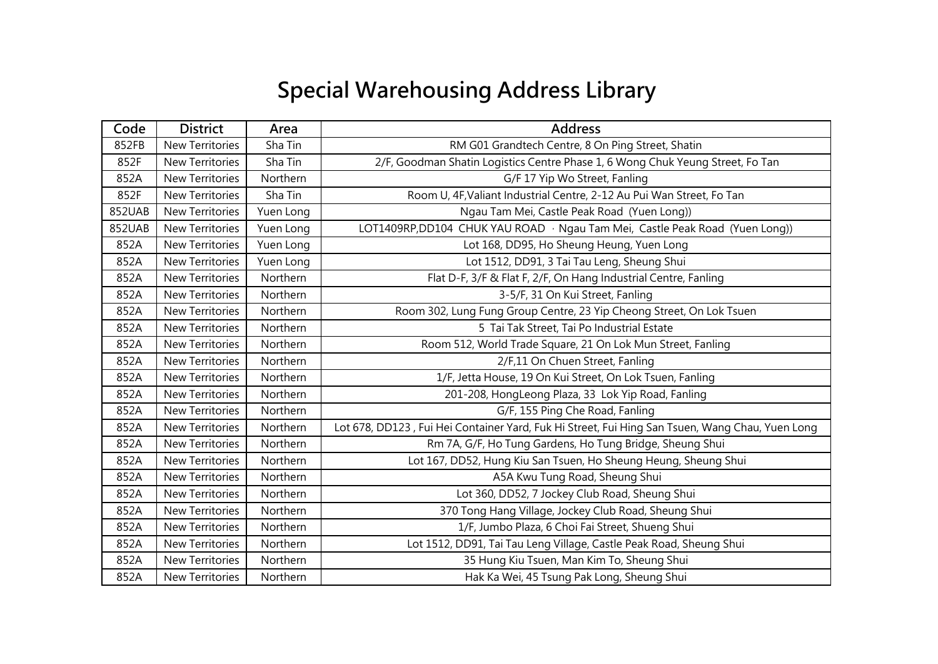## **Special Warehousing Address Library**

| Code   | <b>District</b>        | Area      | <b>Address</b>                                                                                  |
|--------|------------------------|-----------|-------------------------------------------------------------------------------------------------|
| 852FB  | <b>New Territories</b> | Sha Tin   | RM G01 Grandtech Centre, 8 On Ping Street, Shatin                                               |
| 852F   | New Territories        | Sha Tin   | 2/F, Goodman Shatin Logistics Centre Phase 1, 6 Wong Chuk Yeung Street, Fo Tan                  |
| 852A   | <b>New Territories</b> | Northern  | G/F 17 Yip Wo Street, Fanling                                                                   |
| 852F   | <b>New Territories</b> | Sha Tin   | Room U, 4F, Valiant Industrial Centre, 2-12 Au Pui Wan Street, Fo Tan                           |
| 852UAB | New Territories        | Yuen Long | Ngau Tam Mei, Castle Peak Road (Yuen Long))                                                     |
| 852UAB | New Territories        | Yuen Long | LOT1409RP,DD104 CHUK YAU ROAD · Ngau Tam Mei, Castle Peak Road (Yuen Long))                     |
| 852A   | <b>New Territories</b> | Yuen Long | Lot 168, DD95, Ho Sheung Heung, Yuen Long                                                       |
| 852A   | New Territories        | Yuen Long | Lot 1512, DD91, 3 Tai Tau Leng, Sheung Shui                                                     |
| 852A   | <b>New Territories</b> | Northern  | Flat D-F, 3/F & Flat F, 2/F, On Hang Industrial Centre, Fanling                                 |
| 852A   | <b>New Territories</b> | Northern  | 3-5/F, 31 On Kui Street, Fanling                                                                |
| 852A   | New Territories        | Northern  | Room 302, Lung Fung Group Centre, 23 Yip Cheong Street, On Lok Tsuen                            |
| 852A   | <b>New Territories</b> | Northern  | 5 Tai Tak Street, Tai Po Industrial Estate                                                      |
| 852A   | <b>New Territories</b> | Northern  | Room 512, World Trade Square, 21 On Lok Mun Street, Fanling                                     |
| 852A   | New Territories        | Northern  | 2/F,11 On Chuen Street, Fanling                                                                 |
| 852A   | New Territories        | Northern  | 1/F, Jetta House, 19 On Kui Street, On Lok Tsuen, Fanling                                       |
| 852A   | <b>New Territories</b> | Northern  | 201-208, HongLeong Plaza, 33 Lok Yip Road, Fanling                                              |
| 852A   | New Territories        | Northern  | G/F, 155 Ping Che Road, Fanling                                                                 |
| 852A   | New Territories        | Northern  | Lot 678, DD123, Fui Hei Container Yard, Fuk Hi Street, Fui Hing San Tsuen, Wang Chau, Yuen Long |
| 852A   | <b>New Territories</b> | Northern  | Rm 7A, G/F, Ho Tung Gardens, Ho Tung Bridge, Sheung Shui                                        |
| 852A   | New Territories        | Northern  | Lot 167, DD52, Hung Kiu San Tsuen, Ho Sheung Heung, Sheung Shui                                 |
| 852A   | New Territories        | Northern  | A5A Kwu Tung Road, Sheung Shui                                                                  |
| 852A   | <b>New Territories</b> | Northern  | Lot 360, DD52, 7 Jockey Club Road, Sheung Shui                                                  |
| 852A   | New Territories        | Northern  | 370 Tong Hang Village, Jockey Club Road, Sheung Shui                                            |
| 852A   | New Territories        | Northern  | 1/F, Jumbo Plaza, 6 Choi Fai Street, Shueng Shui                                                |
| 852A   | <b>New Territories</b> | Northern  | Lot 1512, DD91, Tai Tau Leng Village, Castle Peak Road, Sheung Shui                             |
| 852A   | <b>New Territories</b> | Northern  | 35 Hung Kiu Tsuen, Man Kim To, Sheung Shui                                                      |
| 852A   | New Territories        | Northern  | Hak Ka Wei, 45 Tsung Pak Long, Sheung Shui                                                      |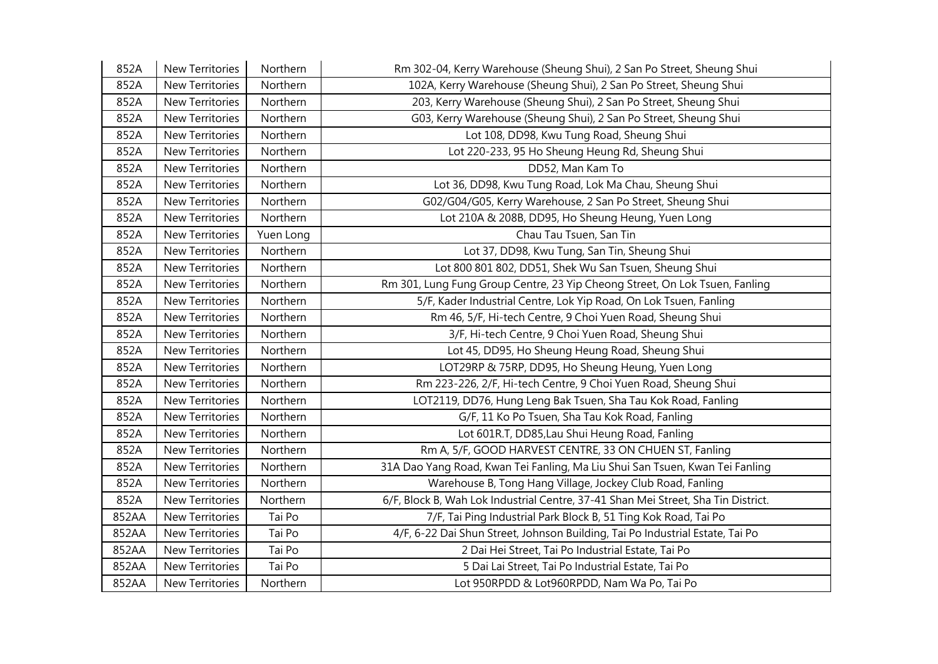| 852A  | New Territories        | Northern  | Rm 302-04, Kerry Warehouse (Sheung Shui), 2 San Po Street, Sheung Shui            |
|-------|------------------------|-----------|-----------------------------------------------------------------------------------|
| 852A  | <b>New Territories</b> | Northern  | 102A, Kerry Warehouse (Sheung Shui), 2 San Po Street, Sheung Shui                 |
| 852A  | <b>New Territories</b> | Northern  | 203, Kerry Warehouse (Sheung Shui), 2 San Po Street, Sheung Shui                  |
| 852A  | New Territories        | Northern  | G03, Kerry Warehouse (Sheung Shui), 2 San Po Street, Sheung Shui                  |
| 852A  | New Territories        | Northern  | Lot 108, DD98, Kwu Tung Road, Sheung Shui                                         |
| 852A  | <b>New Territories</b> | Northern  | Lot 220-233, 95 Ho Sheung Heung Rd, Sheung Shui                                   |
| 852A  | <b>New Territories</b> | Northern  | DD52, Man Kam To                                                                  |
| 852A  | <b>New Territories</b> | Northern  | Lot 36, DD98, Kwu Tung Road, Lok Ma Chau, Sheung Shui                             |
| 852A  | New Territories        | Northern  | G02/G04/G05, Kerry Warehouse, 2 San Po Street, Sheung Shui                        |
| 852A  | <b>New Territories</b> | Northern  | Lot 210A & 208B, DD95, Ho Sheung Heung, Yuen Long                                 |
| 852A  | New Territories        | Yuen Long | Chau Tau Tsuen, San Tin                                                           |
| 852A  | New Territories        | Northern  | Lot 37, DD98, Kwu Tung, San Tin, Sheung Shui                                      |
| 852A  | New Territories        | Northern  | Lot 800 801 802, DD51, Shek Wu San Tsuen, Sheung Shui                             |
| 852A  | New Territories        | Northern  | Rm 301, Lung Fung Group Centre, 23 Yip Cheong Street, On Lok Tsuen, Fanling       |
| 852A  | <b>New Territories</b> | Northern  | 5/F, Kader Industrial Centre, Lok Yip Road, On Lok Tsuen, Fanling                 |
| 852A  | <b>New Territories</b> | Northern  | Rm 46, 5/F, Hi-tech Centre, 9 Choi Yuen Road, Sheung Shui                         |
| 852A  | New Territories        | Northern  | 3/F, Hi-tech Centre, 9 Choi Yuen Road, Sheung Shui                                |
| 852A  | <b>New Territories</b> | Northern  | Lot 45, DD95, Ho Sheung Heung Road, Sheung Shui                                   |
| 852A  | New Territories        | Northern  | LOT29RP & 75RP, DD95, Ho Sheung Heung, Yuen Long                                  |
| 852A  | New Territories        | Northern  | Rm 223-226, 2/F, Hi-tech Centre, 9 Choi Yuen Road, Sheung Shui                    |
| 852A  | New Territories        | Northern  | LOT2119, DD76, Hung Leng Bak Tsuen, Sha Tau Kok Road, Fanling                     |
| 852A  | New Territories        | Northern  | G/F, 11 Ko Po Tsuen, Sha Tau Kok Road, Fanling                                    |
| 852A  | <b>New Territories</b> | Northern  | Lot 601R.T, DD85, Lau Shui Heung Road, Fanling                                    |
| 852A  | <b>New Territories</b> | Northern  | Rm A, 5/F, GOOD HARVEST CENTRE, 33 ON CHUEN ST, Fanling                           |
| 852A  | New Territories        | Northern  | 31A Dao Yang Road, Kwan Tei Fanling, Ma Liu Shui San Tsuen, Kwan Tei Fanling      |
| 852A  | <b>New Territories</b> | Northern  | Warehouse B, Tong Hang Village, Jockey Club Road, Fanling                         |
| 852A  | New Territories        | Northern  | 6/F, Block B, Wah Lok Industrial Centre, 37-41 Shan Mei Street, Sha Tin District. |
| 852AA | New Territories        | Tai Po    | 7/F, Tai Ping Industrial Park Block B, 51 Ting Kok Road, Tai Po                   |
| 852AA | <b>New Territories</b> | Tai Po    | 4/F, 6-22 Dai Shun Street, Johnson Building, Tai Po Industrial Estate, Tai Po     |
| 852AA | <b>New Territories</b> | Tai Po    | 2 Dai Hei Street, Tai Po Industrial Estate, Tai Po                                |
| 852AA | <b>New Territories</b> | Tai Po    | 5 Dai Lai Street, Tai Po Industrial Estate, Tai Po                                |
| 852AA | <b>New Territories</b> | Northern  | Lot 950RPDD & Lot960RPDD, Nam Wa Po, Tai Po                                       |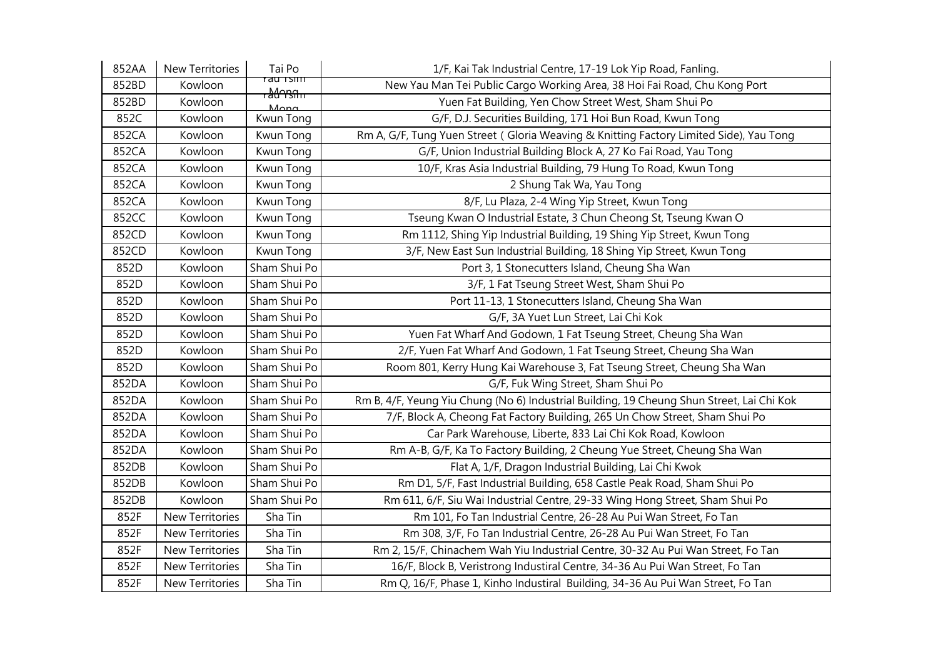| 852AA | New Territories        | Tai Po                            | 1/F, Kai Tak Industrial Centre, 17-19 Lok Yip Road, Fanling.                              |
|-------|------------------------|-----------------------------------|-------------------------------------------------------------------------------------------|
| 852BD | Kowloon                | rau Tsim<br><del>, ჰረიუვი "</del> | New Yau Man Tei Public Cargo Working Area, 38 Hoi Fai Road, Chu Kong Port                 |
| 852BD | Kowloon                | $M$ ona                           | Yuen Fat Building, Yen Chow Street West, Sham Shui Po                                     |
| 852C  | Kowloon                | Kwun Tong                         | G/F, D.J. Securities Building, 171 Hoi Bun Road, Kwun Tong                                |
| 852CA | Kowloon                | Kwun Tong                         | Rm A, G/F, Tung Yuen Street (Gloria Weaving & Knitting Factory Limited Side), Yau Tong    |
| 852CA | Kowloon                | Kwun Tong                         | G/F, Union Industrial Building Block A, 27 Ko Fai Road, Yau Tong                          |
| 852CA | Kowloon                | Kwun Tong                         | 10/F, Kras Asia Industrial Building, 79 Hung To Road, Kwun Tong                           |
| 852CA | Kowloon                | Kwun Tong                         | 2 Shung Tak Wa, Yau Tong                                                                  |
| 852CA | Kowloon                | Kwun Tong                         | 8/F, Lu Plaza, 2-4 Wing Yip Street, Kwun Tong                                             |
| 852CC | Kowloon                | Kwun Tong                         | Tseung Kwan O Industrial Estate, 3 Chun Cheong St, Tseung Kwan O                          |
| 852CD | Kowloon                | Kwun Tong                         | Rm 1112, Shing Yip Industrial Building, 19 Shing Yip Street, Kwun Tong                    |
| 852CD | Kowloon                | Kwun Tong                         | 3/F, New East Sun Industrial Building, 18 Shing Yip Street, Kwun Tong                     |
| 852D  | Kowloon                | Sham Shui Po                      | Port 3, 1 Stonecutters Island, Cheung Sha Wan                                             |
| 852D  | Kowloon                | Sham Shui Po                      | 3/F, 1 Fat Tseung Street West, Sham Shui Po                                               |
| 852D  | Kowloon                | Sham Shui Po                      | Port 11-13, 1 Stonecutters Island, Cheung Sha Wan                                         |
| 852D  | Kowloon                | Sham Shui Po                      | G/F, 3A Yuet Lun Street, Lai Chi Kok                                                      |
| 852D  | Kowloon                | Sham Shui Po                      | Yuen Fat Wharf And Godown, 1 Fat Tseung Street, Cheung Sha Wan                            |
| 852D  | Kowloon                | Sham Shui Po                      | 2/F, Yuen Fat Wharf And Godown, 1 Fat Tseung Street, Cheung Sha Wan                       |
| 852D  | Kowloon                | Sham Shui Po                      | Room 801, Kerry Hung Kai Warehouse 3, Fat Tseung Street, Cheung Sha Wan                   |
| 852DA | Kowloon                | Sham Shui Po                      | G/F, Fuk Wing Street, Sham Shui Po                                                        |
| 852DA | Kowloon                | Sham Shui Po                      | Rm B, 4/F, Yeung Yiu Chung (No 6) Industrial Building, 19 Cheung Shun Street, Lai Chi Kok |
| 852DA | Kowloon                | Sham Shui Po                      | 7/F, Block A, Cheong Fat Factory Building, 265 Un Chow Street, Sham Shui Po               |
| 852DA | Kowloon                | Sham Shui Po                      | Car Park Warehouse, Liberte, 833 Lai Chi Kok Road, Kowloon                                |
| 852DA | Kowloon                | Sham Shui Po                      | Rm A-B, G/F, Ka To Factory Building, 2 Cheung Yue Street, Cheung Sha Wan                  |
| 852DB | Kowloon                | Sham Shui Po                      | Flat A, 1/F, Dragon Industrial Building, Lai Chi Kwok                                     |
| 852DB | Kowloon                | Sham Shui Po                      | Rm D1, 5/F, Fast Industrial Building, 658 Castle Peak Road, Sham Shui Po                  |
| 852DB | Kowloon                | Sham Shui Po                      | Rm 611, 6/F, Siu Wai Industrial Centre, 29-33 Wing Hong Street, Sham Shui Po              |
| 852F  | <b>New Territories</b> | Sha Tin                           | Rm 101, Fo Tan Industrial Centre, 26-28 Au Pui Wan Street, Fo Tan                         |
| 852F  | <b>New Territories</b> | Sha Tin                           | Rm 308, 3/F, Fo Tan Industrial Centre, 26-28 Au Pui Wan Street, Fo Tan                    |
| 852F  | New Territories        | Sha Tin                           | Rm 2, 15/F, Chinachem Wah Yiu Industrial Centre, 30-32 Au Pui Wan Street, Fo Tan          |
| 852F  | New Territories        | Sha Tin                           | 16/F, Block B, Veristrong Industiral Centre, 34-36 Au Pui Wan Street, Fo Tan              |
| 852F  | <b>New Territories</b> | Sha Tin                           | Rm Q, 16/F, Phase 1, Kinho Industiral Building, 34-36 Au Pui Wan Street, Fo Tan           |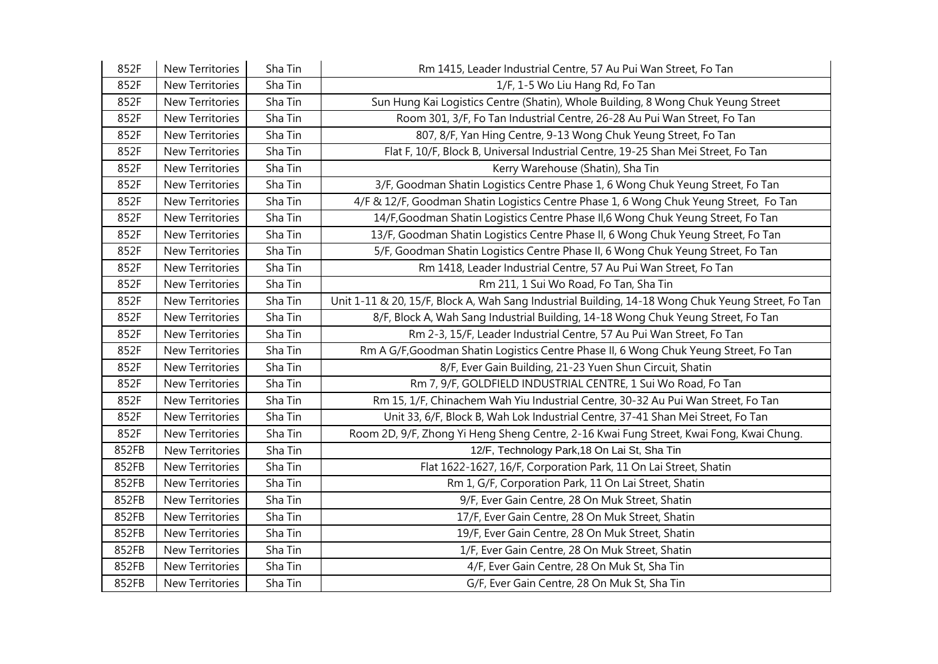| 852F  | New Territories        | Sha Tin | Rm 1415, Leader Industrial Centre, 57 Au Pui Wan Street, Fo Tan                                   |
|-------|------------------------|---------|---------------------------------------------------------------------------------------------------|
| 852F  | <b>New Territories</b> | Sha Tin | 1/F, 1-5 Wo Liu Hang Rd, Fo Tan                                                                   |
| 852F  | New Territories        | Sha Tin | Sun Hung Kai Logistics Centre (Shatin), Whole Building, 8 Wong Chuk Yeung Street                  |
| 852F  | New Territories        | Sha Tin | Room 301, 3/F, Fo Tan Industrial Centre, 26-28 Au Pui Wan Street, Fo Tan                          |
| 852F  | New Territories        | Sha Tin | 807, 8/F, Yan Hing Centre, 9-13 Wong Chuk Yeung Street, Fo Tan                                    |
| 852F  | New Territories        | Sha Tin | Flat F, 10/F, Block B, Universal Industrial Centre, 19-25 Shan Mei Street, Fo Tan                 |
| 852F  | New Territories        | Sha Tin | Kerry Warehouse (Shatin), Sha Tin                                                                 |
| 852F  | <b>New Territories</b> | Sha Tin | 3/F, Goodman Shatin Logistics Centre Phase 1, 6 Wong Chuk Yeung Street, Fo Tan                    |
| 852F  | New Territories        | Sha Tin | 4/F & 12/F, Goodman Shatin Logistics Centre Phase 1, 6 Wong Chuk Yeung Street, Fo Tan             |
| 852F  | <b>New Territories</b> | Sha Tin | 14/F, Goodman Shatin Logistics Centre Phase II, 6 Wong Chuk Yeung Street, Fo Tan                  |
| 852F  | New Territories        | Sha Tin | 13/F, Goodman Shatin Logistics Centre Phase II, 6 Wong Chuk Yeung Street, Fo Tan                  |
| 852F  | New Territories        | Sha Tin | 5/F, Goodman Shatin Logistics Centre Phase II, 6 Wong Chuk Yeung Street, Fo Tan                   |
| 852F  | New Territories        | Sha Tin | Rm 1418, Leader Industrial Centre, 57 Au Pui Wan Street, Fo Tan                                   |
| 852F  | New Territories        | Sha Tin | Rm 211, 1 Sui Wo Road, Fo Tan, Sha Tin                                                            |
| 852F  | <b>New Territories</b> | Sha Tin | Unit 1-11 & 20, 15/F, Block A, Wah Sang Industrial Building, 14-18 Wong Chuk Yeung Street, Fo Tan |
| 852F  | <b>New Territories</b> | Sha Tin | 8/F, Block A, Wah Sang Industrial Building, 14-18 Wong Chuk Yeung Street, Fo Tan                  |
| 852F  | New Territories        | Sha Tin | Rm 2-3, 15/F, Leader Industrial Centre, 57 Au Pui Wan Street, Fo Tan                              |
| 852F  | New Territories        | Sha Tin | Rm A G/F, Goodman Shatin Logistics Centre Phase II, 6 Wong Chuk Yeung Street, Fo Tan              |
| 852F  | New Territories        | Sha Tin | 8/F, Ever Gain Building, 21-23 Yuen Shun Circuit, Shatin                                          |
| 852F  | New Territories        | Sha Tin | Rm 7, 9/F, GOLDFIELD INDUSTRIAL CENTRE, 1 Sui Wo Road, Fo Tan                                     |
| 852F  | New Territories        | Sha Tin | Rm 15, 1/F, Chinachem Wah Yiu Industrial Centre, 30-32 Au Pui Wan Street, Fo Tan                  |
| 852F  | New Territories        | Sha Tin | Unit 33, 6/F, Block B, Wah Lok Industrial Centre, 37-41 Shan Mei Street, Fo Tan                   |
| 852F  | <b>New Territories</b> | Sha Tin | Room 2D, 9/F, Zhong Yi Heng Sheng Centre, 2-16 Kwai Fung Street, Kwai Fong, Kwai Chung.           |
| 852FB | New Territories        | Sha Tin | 12/F, Technology Park, 18 On Lai St, Sha Tin                                                      |
| 852FB | New Territories        | Sha Tin | Flat 1622-1627, 16/F, Corporation Park, 11 On Lai Street, Shatin                                  |
| 852FB | New Territories        | Sha Tin | Rm 1, G/F, Corporation Park, 11 On Lai Street, Shatin                                             |
| 852FB | New Territories        | Sha Tin | 9/F, Ever Gain Centre, 28 On Muk Street, Shatin                                                   |
| 852FB | New Territories        | Sha Tin | 17/F, Ever Gain Centre, 28 On Muk Street, Shatin                                                  |
| 852FB | <b>New Territories</b> | Sha Tin | 19/F, Ever Gain Centre, 28 On Muk Street, Shatin                                                  |
| 852FB | <b>New Territories</b> | Sha Tin | 1/F, Ever Gain Centre, 28 On Muk Street, Shatin                                                   |
| 852FB | New Territories        | Sha Tin | 4/F, Ever Gain Centre, 28 On Muk St, Sha Tin                                                      |
| 852FB | <b>New Territories</b> | Sha Tin | G/F, Ever Gain Centre, 28 On Muk St, Sha Tin                                                      |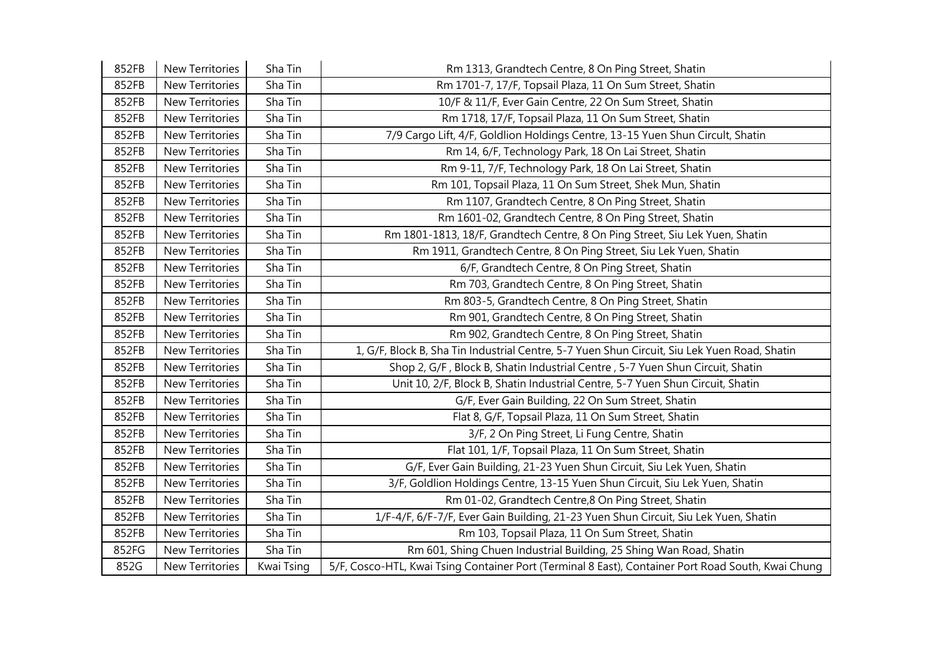| 852FB | New Territories        | Sha Tin    | Rm 1313, Grandtech Centre, 8 On Ping Street, Shatin                                                |
|-------|------------------------|------------|----------------------------------------------------------------------------------------------------|
| 852FB | New Territories        | Sha Tin    | Rm 1701-7, 17/F, Topsail Plaza, 11 On Sum Street, Shatin                                           |
| 852FB | New Territories        | Sha Tin    | 10/F & 11/F, Ever Gain Centre, 22 On Sum Street, Shatin                                            |
| 852FB | <b>New Territories</b> | Sha Tin    | Rm 1718, 17/F, Topsail Plaza, 11 On Sum Street, Shatin                                             |
| 852FB | <b>New Territories</b> | Sha Tin    | 7/9 Cargo Lift, 4/F, Goldlion Holdings Centre, 13-15 Yuen Shun Circult, Shatin                     |
| 852FB | New Territories        | Sha Tin    | Rm 14, 6/F, Technology Park, 18 On Lai Street, Shatin                                              |
| 852FB | <b>New Territories</b> | Sha Tin    | Rm 9-11, 7/F, Technology Park, 18 On Lai Street, Shatin                                            |
| 852FB | <b>New Territories</b> | Sha Tin    | Rm 101, Topsail Plaza, 11 On Sum Street, Shek Mun, Shatin                                          |
| 852FB | New Territories        | Sha Tin    | Rm 1107, Grandtech Centre, 8 On Ping Street, Shatin                                                |
| 852FB | New Territories        | Sha Tin    | Rm 1601-02, Grandtech Centre, 8 On Ping Street, Shatin                                             |
| 852FB | New Territories        | Sha Tin    | Rm 1801-1813, 18/F, Grandtech Centre, 8 On Ping Street, Siu Lek Yuen, Shatin                       |
| 852FB | <b>New Territories</b> | Sha Tin    | Rm 1911, Grandtech Centre, 8 On Ping Street, Siu Lek Yuen, Shatin                                  |
| 852FB | New Territories        | Sha Tin    | 6/F, Grandtech Centre, 8 On Ping Street, Shatin                                                    |
| 852FB | <b>New Territories</b> | Sha Tin    | Rm 703, Grandtech Centre, 8 On Ping Street, Shatin                                                 |
| 852FB | <b>New Territories</b> | Sha Tin    | Rm 803-5, Grandtech Centre, 8 On Ping Street, Shatin                                               |
| 852FB | New Territories        | Sha Tin    | Rm 901, Grandtech Centre, 8 On Ping Street, Shatin                                                 |
| 852FB | <b>New Territories</b> | Sha Tin    | Rm 902, Grandtech Centre, 8 On Ping Street, Shatin                                                 |
| 852FB | <b>New Territories</b> | Sha Tin    | 1, G/F, Block B, Sha Tin Industrial Centre, 5-7 Yuen Shun Circuit, Siu Lek Yuen Road, Shatin       |
| 852FB | New Territories        | Sha Tin    | Shop 2, G/F, Block B, Shatin Industrial Centre, 5-7 Yuen Shun Circuit, Shatin                      |
| 852FB | New Territories        | Sha Tin    | Unit 10, 2/F, Block B, Shatin Industrial Centre, 5-7 Yuen Shun Circuit, Shatin                     |
| 852FB | <b>New Territories</b> | Sha Tin    | G/F, Ever Gain Building, 22 On Sum Street, Shatin                                                  |
| 852FB | <b>New Territories</b> | Sha Tin    | Flat 8, G/F, Topsail Plaza, 11 On Sum Street, Shatin                                               |
| 852FB | <b>New Territories</b> | Sha Tin    | 3/F, 2 On Ping Street, Li Fung Centre, Shatin                                                      |
| 852FB | <b>New Territories</b> | Sha Tin    | Flat 101, 1/F, Topsail Plaza, 11 On Sum Street, Shatin                                             |
| 852FB | <b>New Territories</b> | Sha Tin    | G/F, Ever Gain Building, 21-23 Yuen Shun Circuit, Siu Lek Yuen, Shatin                             |
| 852FB | New Territories        | Sha Tin    | 3/F, Goldlion Holdings Centre, 13-15 Yuen Shun Circuit, Siu Lek Yuen, Shatin                       |
| 852FB | New Territories        | Sha Tin    | Rm 01-02, Grandtech Centre,8 On Ping Street, Shatin                                                |
| 852FB | New Territories        | Sha Tin    | 1/F-4/F, 6/F-7/F, Ever Gain Building, 21-23 Yuen Shun Circuit, Siu Lek Yuen, Shatin                |
| 852FB | New Territories        | Sha Tin    | Rm 103, Topsail Plaza, 11 On Sum Street, Shatin                                                    |
| 852FG | <b>New Territories</b> | Sha Tin    | Rm 601, Shing Chuen Industrial Building, 25 Shing Wan Road, Shatin                                 |
| 852G  | New Territories        | Kwai Tsing | 5/F, Cosco-HTL, Kwai Tsing Container Port (Terminal 8 East), Container Port Road South, Kwai Chung |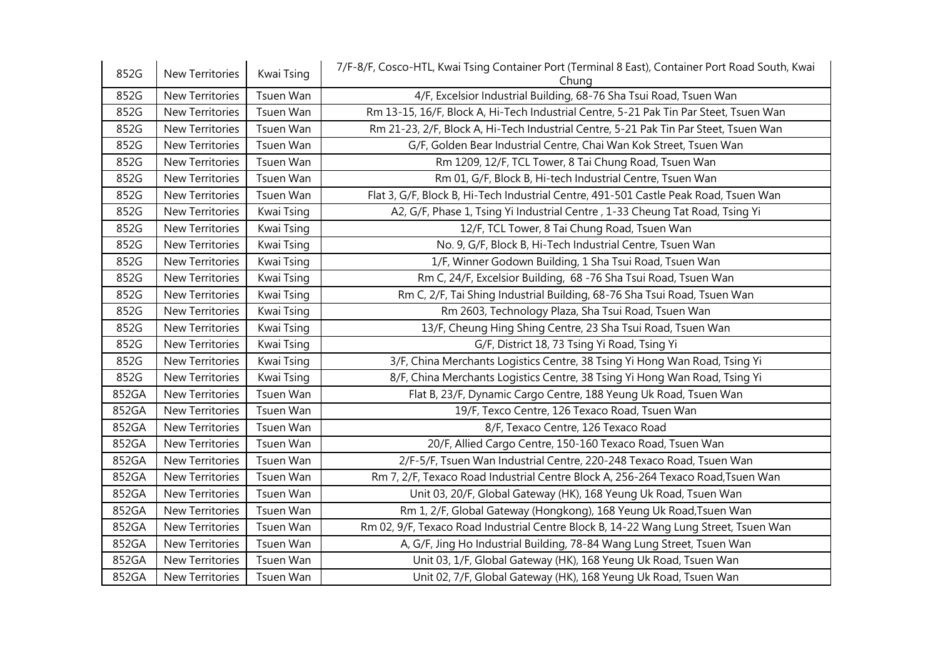| 852G  | New Territories        | Kwai Tsing | 7/F-8/F, Cosco-HTL, Kwai Tsing Container Port (Terminal 8 East), Container Port Road South, Kwai<br>Chung |
|-------|------------------------|------------|-----------------------------------------------------------------------------------------------------------|
| 852G  | New Territories        | Tsuen Wan  | 4/F, Excelsior Industrial Building, 68-76 Sha Tsui Road, Tsuen Wan                                        |
| 852G  | New Territories        | Tsuen Wan  | Rm 13-15, 16/F, Block A, Hi-Tech Industrial Centre, 5-21 Pak Tin Par Steet, Tsuen Wan                     |
| 852G  | New Territories        | Tsuen Wan  | Rm 21-23, 2/F, Block A, Hi-Tech Industrial Centre, 5-21 Pak Tin Par Steet, Tsuen Wan                      |
| 852G  | New Territories        | Tsuen Wan  | G/F, Golden Bear Industrial Centre, Chai Wan Kok Street, Tsuen Wan                                        |
| 852G  | New Territories        | Tsuen Wan  | Rm 1209, 12/F, TCL Tower, 8 Tai Chung Road, Tsuen Wan                                                     |
| 852G  | New Territories        | Tsuen Wan  | Rm 01, G/F, Block B, Hi-tech Industrial Centre, Tsuen Wan                                                 |
| 852G  | New Territories        | Tsuen Wan  | Flat 3, G/F, Block B, Hi-Tech Industrial Centre, 491-501 Castle Peak Road, Tsuen Wan                      |
| 852G  | New Territories        | Kwai Tsing | A2, G/F, Phase 1, Tsing Yi Industrial Centre, 1-33 Cheung Tat Road, Tsing Yi                              |
| 852G  | New Territories        | Kwai Tsing | 12/F, TCL Tower, 8 Tai Chung Road, Tsuen Wan                                                              |
| 852G  | New Territories        | Kwai Tsing | No. 9, G/F, Block B, Hi-Tech Industrial Centre, Tsuen Wan                                                 |
| 852G  | New Territories        | Kwai Tsing | 1/F, Winner Godown Building, 1 Sha Tsui Road, Tsuen Wan                                                   |
| 852G  | New Territories        | Kwai Tsing | Rm C, 24/F, Excelsior Building, 68 -76 Sha Tsui Road, Tsuen Wan                                           |
| 852G  | New Territories        | Kwai Tsing | Rm C, 2/F, Tai Shing Industrial Building, 68-76 Sha Tsui Road, Tsuen Wan                                  |
| 852G  | New Territories        | Kwai Tsing | Rm 2603, Technology Plaza, Sha Tsui Road, Tsuen Wan                                                       |
| 852G  | New Territories        | Kwai Tsing | 13/F, Cheung Hing Shing Centre, 23 Sha Tsui Road, Tsuen Wan                                               |
| 852G  | <b>New Territories</b> | Kwai Tsing | G/F, District 18, 73 Tsing Yi Road, Tsing Yi                                                              |
| 852G  | New Territories        | Kwai Tsing | 3/F, China Merchants Logistics Centre, 38 Tsing Yi Hong Wan Road, Tsing Yi                                |
| 852G  | New Territories        | Kwai Tsing | 8/F, China Merchants Logistics Centre, 38 Tsing Yi Hong Wan Road, Tsing Yi                                |
| 852GA | New Territories        | Tsuen Wan  | Flat B, 23/F, Dynamic Cargo Centre, 188 Yeung Uk Road, Tsuen Wan                                          |
| 852GA | New Territories        | Tsuen Wan  | 19/F, Texco Centre, 126 Texaco Road, Tsuen Wan                                                            |
| 852GA | New Territories        | Tsuen Wan  | 8/F, Texaco Centre, 126 Texaco Road                                                                       |
| 852GA | New Territories        | Tsuen Wan  | 20/F, Allied Cargo Centre, 150-160 Texaco Road, Tsuen Wan                                                 |
| 852GA | New Territories        | Tsuen Wan  | 2/F-5/F, Tsuen Wan Industrial Centre, 220-248 Texaco Road, Tsuen Wan                                      |
| 852GA | New Territories        | Tsuen Wan  | Rm 7, 2/F, Texaco Road Industrial Centre Block A, 256-264 Texaco Road, Tsuen Wan                          |
| 852GA | New Territories        | Tsuen Wan  | Unit 03, 20/F, Global Gateway (HK), 168 Yeung Uk Road, Tsuen Wan                                          |
| 852GA | <b>New Territories</b> | Tsuen Wan  | Rm 1, 2/F, Global Gateway (Hongkong), 168 Yeung Uk Road, Tsuen Wan                                        |
| 852GA | New Territories        | Tsuen Wan  | Rm 02, 9/F, Texaco Road Industrial Centre Block B, 14-22 Wang Lung Street, Tsuen Wan                      |
| 852GA | New Territories        | Tsuen Wan  | A, G/F, Jing Ho Industrial Building, 78-84 Wang Lung Street, Tsuen Wan                                    |
| 852GA | New Territories        | Tsuen Wan  | Unit 03, 1/F, Global Gateway (HK), 168 Yeung Uk Road, Tsuen Wan                                           |
| 852GA | New Territories        | Tsuen Wan  | Unit 02, 7/F, Global Gateway (HK), 168 Yeung Uk Road, Tsuen Wan                                           |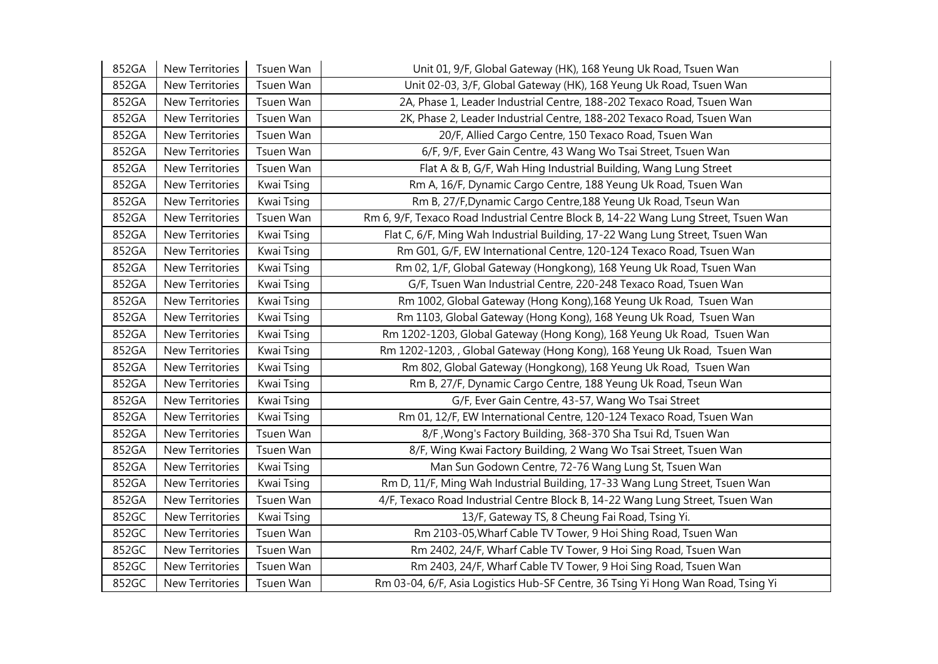| 852GA | <b>New Territories</b> | Tsuen Wan  | Unit 01, 9/F, Global Gateway (HK), 168 Yeung Uk Road, Tsuen Wan                     |
|-------|------------------------|------------|-------------------------------------------------------------------------------------|
| 852GA | New Territories        | Tsuen Wan  | Unit 02-03, 3/F, Global Gateway (HK), 168 Yeung Uk Road, Tsuen Wan                  |
| 852GA | New Territories        | Tsuen Wan  | 2A, Phase 1, Leader Industrial Centre, 188-202 Texaco Road, Tsuen Wan               |
| 852GA | <b>New Territories</b> | Tsuen Wan  | 2K, Phase 2, Leader Industrial Centre, 188-202 Texaco Road, Tsuen Wan               |
| 852GA | <b>New Territories</b> | Tsuen Wan  | 20/F, Allied Cargo Centre, 150 Texaco Road, Tsuen Wan                               |
| 852GA | New Territories        | Tsuen Wan  | 6/F, 9/F, Ever Gain Centre, 43 Wang Wo Tsai Street, Tsuen Wan                       |
| 852GA | New Territories        | Tsuen Wan  | Flat A & B, G/F, Wah Hing Industrial Building, Wang Lung Street                     |
| 852GA | New Territories        | Kwai Tsing | Rm A, 16/F, Dynamic Cargo Centre, 188 Yeung Uk Road, Tsuen Wan                      |
| 852GA | New Territories        | Kwai Tsing | Rm B, 27/F, Dynamic Cargo Centre, 188 Yeung Uk Road, Tseun Wan                      |
| 852GA | <b>New Territories</b> | Tsuen Wan  | Rm 6, 9/F, Texaco Road Industrial Centre Block B, 14-22 Wang Lung Street, Tsuen Wan |
| 852GA | New Territories        | Kwai Tsing | Flat C, 6/F, Ming Wah Industrial Building, 17-22 Wang Lung Street, Tsuen Wan        |
| 852GA | New Territories        | Kwai Tsing | Rm G01, G/F, EW International Centre, 120-124 Texaco Road, Tsuen Wan                |
| 852GA | New Territories        | Kwai Tsing | Rm 02, 1/F, Global Gateway (Hongkong), 168 Yeung Uk Road, Tsuen Wan                 |
| 852GA | New Territories        | Kwai Tsing | G/F, Tsuen Wan Industrial Centre, 220-248 Texaco Road, Tsuen Wan                    |
| 852GA | <b>New Territories</b> | Kwai Tsing | Rm 1002, Global Gateway (Hong Kong), 168 Yeung Uk Road, Tsuen Wan                   |
| 852GA | New Territories        | Kwai Tsing | Rm 1103, Global Gateway (Hong Kong), 168 Yeung Uk Road, Tsuen Wan                   |
| 852GA | New Territories        | Kwai Tsing | Rm 1202-1203, Global Gateway (Hong Kong), 168 Yeung Uk Road, Tsuen Wan              |
| 852GA | New Territories        | Kwai Tsing | Rm 1202-1203, , Global Gateway (Hong Kong), 168 Yeung Uk Road, Tsuen Wan            |
| 852GA | New Territories        | Kwai Tsing | Rm 802, Global Gateway (Hongkong), 168 Yeung Uk Road, Tsuen Wan                     |
| 852GA | New Territories        | Kwai Tsing | Rm B, 27/F, Dynamic Cargo Centre, 188 Yeung Uk Road, Tseun Wan                      |
| 852GA | New Territories        | Kwai Tsing | G/F, Ever Gain Centre, 43-57, Wang Wo Tsai Street                                   |
| 852GA | New Territories        | Kwai Tsing | Rm 01, 12/F, EW International Centre, 120-124 Texaco Road, Tsuen Wan                |
| 852GA | <b>New Territories</b> | Tsuen Wan  | 8/F, Wong's Factory Building, 368-370 Sha Tsui Rd, Tsuen Wan                        |
| 852GA | <b>New Territories</b> | Tsuen Wan  | 8/F, Wing Kwai Factory Building, 2 Wang Wo Tsai Street, Tsuen Wan                   |
| 852GA | New Territories        | Kwai Tsing | Man Sun Godown Centre, 72-76 Wang Lung St, Tsuen Wan                                |
| 852GA | New Territories        | Kwai Tsing | Rm D, 11/F, Ming Wah Industrial Building, 17-33 Wang Lung Street, Tsuen Wan         |
| 852GA | New Territories        | Tsuen Wan  | 4/F, Texaco Road Industrial Centre Block B, 14-22 Wang Lung Street, Tsuen Wan       |
| 852GC | New Territories        | Kwai Tsing | 13/F, Gateway TS, 8 Cheung Fai Road, Tsing Yi.                                      |
| 852GC | <b>New Territories</b> | Tsuen Wan  | Rm 2103-05, Wharf Cable TV Tower, 9 Hoi Shing Road, Tsuen Wan                       |
| 852GC | New Territories        | Tsuen Wan  | Rm 2402, 24/F, Wharf Cable TV Tower, 9 Hoi Sing Road, Tsuen Wan                     |
| 852GC | New Territories        | Tsuen Wan  | Rm 2403, 24/F, Wharf Cable TV Tower, 9 Hoi Sing Road, Tsuen Wan                     |
| 852GC | <b>New Territories</b> | Tsuen Wan  | Rm 03-04, 6/F, Asia Logistics Hub-SF Centre, 36 Tsing Yi Hong Wan Road, Tsing Yi    |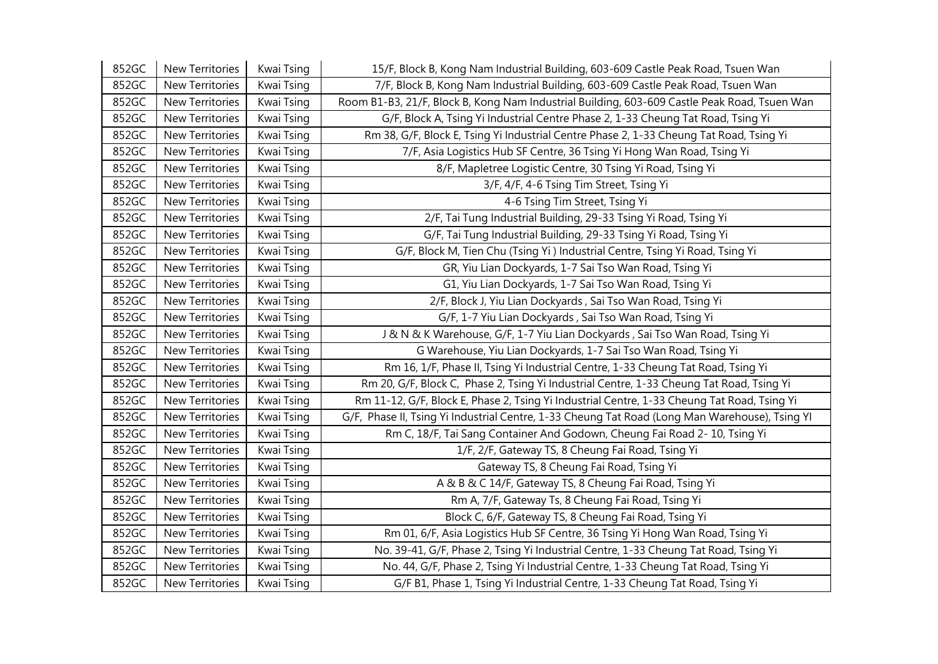| 852GC | New Territories        | Kwai Tsing | 15/F, Block B, Kong Nam Industrial Building, 603-609 Castle Peak Road, Tsuen Wan               |
|-------|------------------------|------------|------------------------------------------------------------------------------------------------|
| 852GC | <b>New Territories</b> | Kwai Tsing | 7/F, Block B, Kong Nam Industrial Building, 603-609 Castle Peak Road, Tsuen Wan                |
| 852GC | New Territories        | Kwai Tsing | Room B1-B3, 21/F, Block B, Kong Nam Industrial Building, 603-609 Castle Peak Road, Tsuen Wan   |
| 852GC | New Territories        | Kwai Tsing | G/F, Block A, Tsing Yi Industrial Centre Phase 2, 1-33 Cheung Tat Road, Tsing Yi               |
| 852GC | New Territories        | Kwai Tsing | Rm 38, G/F, Block E, Tsing Yi Industrial Centre Phase 2, 1-33 Cheung Tat Road, Tsing Yi        |
| 852GC | New Territories        | Kwai Tsing | 7/F, Asia Logistics Hub SF Centre, 36 Tsing Yi Hong Wan Road, Tsing Yi                         |
| 852GC | New Territories        | Kwai Tsing | 8/F, Mapletree Logistic Centre, 30 Tsing Yi Road, Tsing Yi                                     |
| 852GC | New Territories        | Kwai Tsing | 3/F, 4/F, 4-6 Tsing Tim Street, Tsing Yi                                                       |
| 852GC | New Territories        | Kwai Tsing | 4-6 Tsing Tim Street, Tsing Yi                                                                 |
| 852GC | New Territories        | Kwai Tsing | 2/F, Tai Tung Industrial Building, 29-33 Tsing Yi Road, Tsing Yi                               |
| 852GC | New Territories        | Kwai Tsing | G/F, Tai Tung Industrial Building, 29-33 Tsing Yi Road, Tsing Yi                               |
| 852GC | New Territories        | Kwai Tsing | G/F, Block M, Tien Chu (Tsing Yi) Industrial Centre, Tsing Yi Road, Tsing Yi                   |
| 852GC | New Territories        | Kwai Tsing | GR, Yiu Lian Dockyards, 1-7 Sai Tso Wan Road, Tsing Yi                                         |
| 852GC | New Territories        | Kwai Tsing | G1, Yiu Lian Dockyards, 1-7 Sai Tso Wan Road, Tsing Yi                                         |
| 852GC | New Territories        | Kwai Tsing | 2/F, Block J, Yiu Lian Dockyards, Sai Tso Wan Road, Tsing Yi                                   |
| 852GC | New Territories        | Kwai Tsing | G/F, 1-7 Yiu Lian Dockyards, Sai Tso Wan Road, Tsing Yi                                        |
| 852GC | <b>New Territories</b> | Kwai Tsing | J & N & K Warehouse, G/F, 1-7 Yiu Lian Dockyards, Sai Tso Wan Road, Tsing Yi                   |
| 852GC | <b>New Territories</b> | Kwai Tsing | G Warehouse, Yiu Lian Dockyards, 1-7 Sai Tso Wan Road, Tsing Yi                                |
| 852GC | New Territories        | Kwai Tsing | Rm 16, 1/F, Phase II, Tsing Yi Industrial Centre, 1-33 Cheung Tat Road, Tsing Yi               |
| 852GC | New Territories        | Kwai Tsing | Rm 20, G/F, Block C, Phase 2, Tsing Yi Industrial Centre, 1-33 Cheung Tat Road, Tsing Yi       |
| 852GC | New Territories        | Kwai Tsing | Rm 11-12, G/F, Block E, Phase 2, Tsing Yi Industrial Centre, 1-33 Cheung Tat Road, Tsing Yi    |
| 852GC | New Territories        | Kwai Tsing | G/F, Phase II, Tsing Yi Industrial Centre, 1-33 Cheung Tat Road (Long Man Warehouse), Tsing YI |
| 852GC | <b>New Territories</b> | Kwai Tsing | Rm C, 18/F, Tai Sang Container And Godown, Cheung Fai Road 2-10, Tsing Yi                      |
| 852GC | New Territories        | Kwai Tsing | 1/F, 2/F, Gateway TS, 8 Cheung Fai Road, Tsing Yi                                              |
| 852GC | New Territories        | Kwai Tsing | Gateway TS, 8 Cheung Fai Road, Tsing Yi                                                        |
| 852GC | New Territories        | Kwai Tsing | A & B & C 14/F, Gateway TS, 8 Cheung Fai Road, Tsing Yi                                        |
| 852GC | New Territories        | Kwai Tsing | Rm A, 7/F, Gateway Ts, 8 Cheung Fai Road, Tsing Yi                                             |
| 852GC | New Territories        | Kwai Tsing | Block C, 6/F, Gateway TS, 8 Cheung Fai Road, Tsing Yi                                          |
| 852GC | New Territories        | Kwai Tsing | Rm 01, 6/F, Asia Logistics Hub SF Centre, 36 Tsing Yi Hong Wan Road, Tsing Yi                  |
| 852GC | New Territories        | Kwai Tsing | No. 39-41, G/F, Phase 2, Tsing Yi Industrial Centre, 1-33 Cheung Tat Road, Tsing Yi            |
| 852GC | New Territories        | Kwai Tsing | No. 44, G/F, Phase 2, Tsing Yi Industrial Centre, 1-33 Cheung Tat Road, Tsing Yi               |
| 852GC | New Territories        | Kwai Tsing | G/F B1, Phase 1, Tsing Yi Industrial Centre, 1-33 Cheung Tat Road, Tsing Yi                    |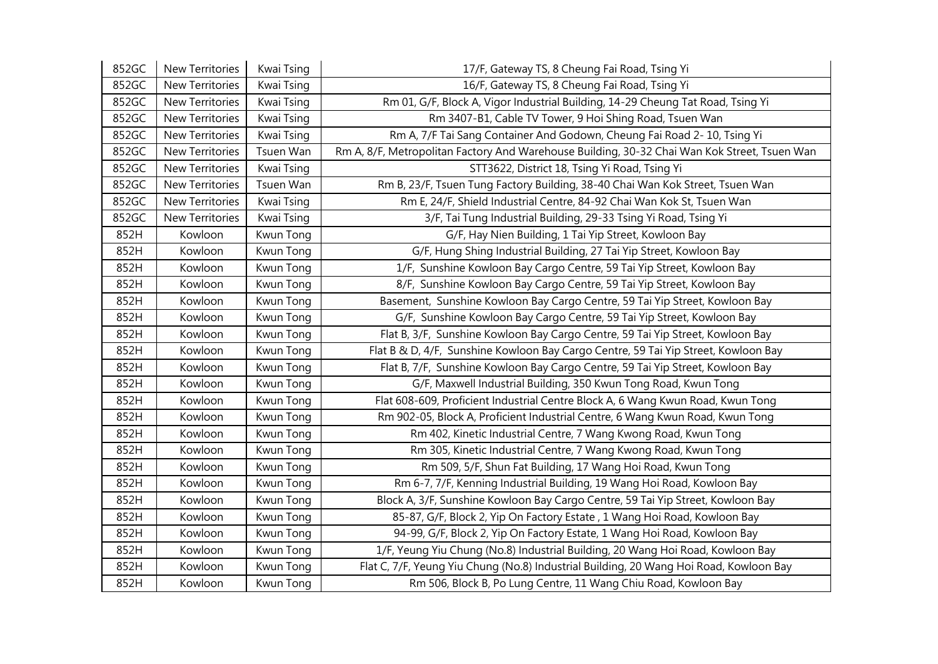| 852GC | New Territories | Kwai Tsing | 17/F, Gateway TS, 8 Cheung Fai Road, Tsing Yi                                                |
|-------|-----------------|------------|----------------------------------------------------------------------------------------------|
| 852GC | New Territories | Kwai Tsing | 16/F, Gateway TS, 8 Cheung Fai Road, Tsing Yi                                                |
| 852GC | New Territories | Kwai Tsing | Rm 01, G/F, Block A, Vigor Industrial Building, 14-29 Cheung Tat Road, Tsing Yi              |
| 852GC | New Territories | Kwai Tsing | Rm 3407-B1, Cable TV Tower, 9 Hoi Shing Road, Tsuen Wan                                      |
| 852GC | New Territories | Kwai Tsing | Rm A, 7/F Tai Sang Container And Godown, Cheung Fai Road 2- 10, Tsing Yi                     |
| 852GC | New Territories | Tsuen Wan  | Rm A, 8/F, Metropolitan Factory And Warehouse Building, 30-32 Chai Wan Kok Street, Tsuen Wan |
| 852GC | New Territories | Kwai Tsing | STT3622, District 18, Tsing Yi Road, Tsing Yi                                                |
| 852GC | New Territories | Tsuen Wan  | Rm B, 23/F, Tsuen Tung Factory Building, 38-40 Chai Wan Kok Street, Tsuen Wan                |
| 852GC | New Territories | Kwai Tsing | Rm E, 24/F, Shield Industrial Centre, 84-92 Chai Wan Kok St, Tsuen Wan                       |
| 852GC | New Territories | Kwai Tsing | 3/F, Tai Tung Industrial Building, 29-33 Tsing Yi Road, Tsing Yi                             |
| 852H  | Kowloon         | Kwun Tong  | G/F, Hay Nien Building, 1 Tai Yip Street, Kowloon Bay                                        |
| 852H  | Kowloon         | Kwun Tong  | G/F, Hung Shing Industrial Building, 27 Tai Yip Street, Kowloon Bay                          |
| 852H  | Kowloon         | Kwun Tong  | 1/F, Sunshine Kowloon Bay Cargo Centre, 59 Tai Yip Street, Kowloon Bay                       |
| 852H  | Kowloon         | Kwun Tong  | 8/F, Sunshine Kowloon Bay Cargo Centre, 59 Tai Yip Street, Kowloon Bay                       |
| 852H  | Kowloon         | Kwun Tong  | Basement, Sunshine Kowloon Bay Cargo Centre, 59 Tai Yip Street, Kowloon Bay                  |
| 852H  | Kowloon         | Kwun Tong  | G/F, Sunshine Kowloon Bay Cargo Centre, 59 Tai Yip Street, Kowloon Bay                       |
| 852H  | Kowloon         | Kwun Tong  | Flat B, 3/F, Sunshine Kowloon Bay Cargo Centre, 59 Tai Yip Street, Kowloon Bay               |
| 852H  | Kowloon         | Kwun Tong  | Flat B & D, 4/F, Sunshine Kowloon Bay Cargo Centre, 59 Tai Yip Street, Kowloon Bay           |
| 852H  | Kowloon         | Kwun Tong  | Flat B, 7/F, Sunshine Kowloon Bay Cargo Centre, 59 Tai Yip Street, Kowloon Bay               |
| 852H  | Kowloon         | Kwun Tong  | G/F, Maxwell Industrial Building, 350 Kwun Tong Road, Kwun Tong                              |
| 852H  | Kowloon         | Kwun Tong  | Flat 608-609, Proficient Industrial Centre Block A, 6 Wang Kwun Road, Kwun Tong              |
| 852H  | Kowloon         | Kwun Tong  | Rm 902-05, Block A, Proficient Industrial Centre, 6 Wang Kwun Road, Kwun Tong                |
| 852H  | Kowloon         | Kwun Tong  | Rm 402, Kinetic Industrial Centre, 7 Wang Kwong Road, Kwun Tong                              |
| 852H  | Kowloon         | Kwun Tong  | Rm 305, Kinetic Industrial Centre, 7 Wang Kwong Road, Kwun Tong                              |
| 852H  | Kowloon         | Kwun Tong  | Rm 509, 5/F, Shun Fat Building, 17 Wang Hoi Road, Kwun Tong                                  |
| 852H  | Kowloon         | Kwun Tong  | Rm 6-7, 7/F, Kenning Industrial Building, 19 Wang Hoi Road, Kowloon Bay                      |
| 852H  | Kowloon         | Kwun Tong  | Block A, 3/F, Sunshine Kowloon Bay Cargo Centre, 59 Tai Yip Street, Kowloon Bay              |
| 852H  | Kowloon         | Kwun Tong  | 85-87, G/F, Block 2, Yip On Factory Estate, 1 Wang Hoi Road, Kowloon Bay                     |
| 852H  | Kowloon         | Kwun Tong  | 94-99, G/F, Block 2, Yip On Factory Estate, 1 Wang Hoi Road, Kowloon Bay                     |
| 852H  | Kowloon         | Kwun Tong  | 1/F, Yeung Yiu Chung (No.8) Industrial Building, 20 Wang Hoi Road, Kowloon Bay               |
| 852H  | Kowloon         | Kwun Tong  | Flat C, 7/F, Yeung Yiu Chung (No.8) Industrial Building, 20 Wang Hoi Road, Kowloon Bay       |
| 852H  | Kowloon         | Kwun Tong  | Rm 506, Block B, Po Lung Centre, 11 Wang Chiu Road, Kowloon Bay                              |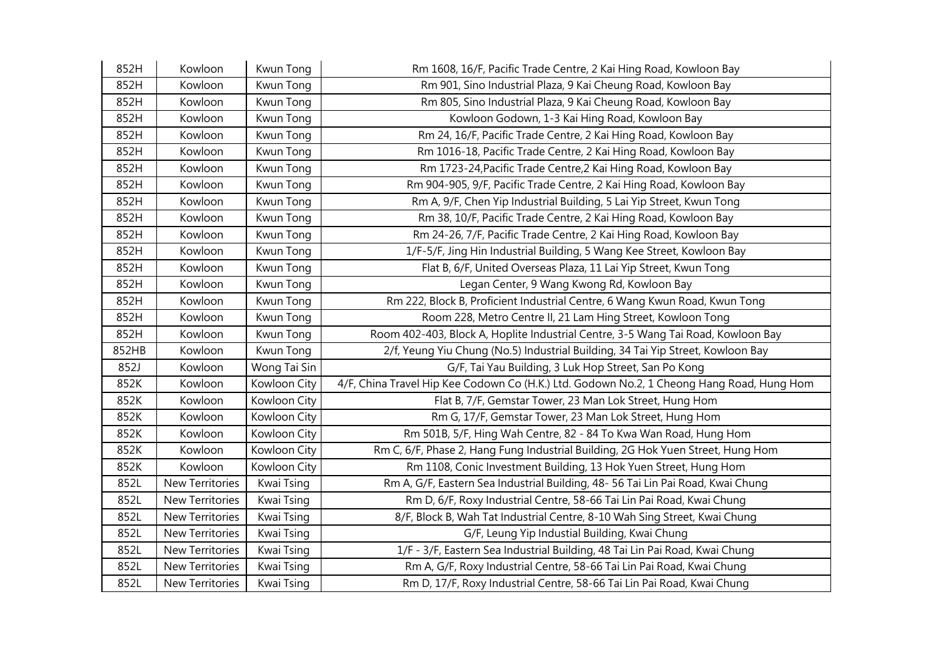| 852H  | Kowloon         | Kwun Tong    | Rm 1608, 16/F, Pacific Trade Centre, 2 Kai Hing Road, Kowloon Bay                         |
|-------|-----------------|--------------|-------------------------------------------------------------------------------------------|
| 852H  | Kowloon         | Kwun Tong    | Rm 901, Sino Industrial Plaza, 9 Kai Cheung Road, Kowloon Bay                             |
| 852H  | Kowloon         | Kwun Tong    | Rm 805, Sino Industrial Plaza, 9 Kai Cheung Road, Kowloon Bay                             |
| 852H  | Kowloon         | Kwun Tong    | Kowloon Godown, 1-3 Kai Hing Road, Kowloon Bay                                            |
| 852H  | Kowloon         | Kwun Tong    | Rm 24, 16/F, Pacific Trade Centre, 2 Kai Hing Road, Kowloon Bay                           |
| 852H  | Kowloon         | Kwun Tong    | Rm 1016-18, Pacific Trade Centre, 2 Kai Hing Road, Kowloon Bay                            |
| 852H  | Kowloon         | Kwun Tong    | Rm 1723-24, Pacific Trade Centre, 2 Kai Hing Road, Kowloon Bay                            |
| 852H  | Kowloon         | Kwun Tong    | Rm 904-905, 9/F, Pacific Trade Centre, 2 Kai Hing Road, Kowloon Bay                       |
| 852H  | Kowloon         | Kwun Tong    | Rm A, 9/F, Chen Yip Industrial Building, 5 Lai Yip Street, Kwun Tong                      |
| 852H  | Kowloon         | Kwun Tong    | Rm 38, 10/F, Pacific Trade Centre, 2 Kai Hing Road, Kowloon Bay                           |
| 852H  | Kowloon         | Kwun Tong    | Rm 24-26, 7/F, Pacific Trade Centre, 2 Kai Hing Road, Kowloon Bay                         |
| 852H  | Kowloon         | Kwun Tong    | 1/F-5/F, Jing Hin Industrial Building, 5 Wang Kee Street, Kowloon Bay                     |
| 852H  | Kowloon         | Kwun Tong    | Flat B, 6/F, United Overseas Plaza, 11 Lai Yip Street, Kwun Tong                          |
| 852H  | Kowloon         | Kwun Tong    | Legan Center, 9 Wang Kwong Rd, Kowloon Bay                                                |
| 852H  | Kowloon         | Kwun Tong    | Rm 222, Block B, Proficient Industrial Centre, 6 Wang Kwun Road, Kwun Tong                |
| 852H  | Kowloon         | Kwun Tong    | Room 228, Metro Centre II, 21 Lam Hing Street, Kowloon Tong                               |
| 852H  | Kowloon         | Kwun Tong    | Room 402-403, Block A, Hoplite Industrial Centre, 3-5 Wang Tai Road, Kowloon Bay          |
| 852HB | Kowloon         | Kwun Tong    | 2/f, Yeung Yiu Chung (No.5) Industrial Building, 34 Tai Yip Street, Kowloon Bay           |
| 852J  | Kowloon         | Wong Tai Sin | G/F, Tai Yau Building, 3 Luk Hop Street, San Po Kong                                      |
| 852K  | Kowloon         | Kowloon City | 4/F, China Travel Hip Kee Codown Co (H.K.) Ltd. Godown No.2, 1 Cheong Hang Road, Hung Hom |
| 852K  | Kowloon         | Kowloon City | Flat B, 7/F, Gemstar Tower, 23 Man Lok Street, Hung Hom                                   |
| 852K  | Kowloon         | Kowloon City | Rm G, 17/F, Gemstar Tower, 23 Man Lok Street, Hung Hom                                    |
| 852K  | Kowloon         | Kowloon City | Rm 501B, 5/F, Hing Wah Centre, 82 - 84 To Kwa Wan Road, Hung Hom                          |
| 852K  | Kowloon         | Kowloon City | Rm C, 6/F, Phase 2, Hang Fung Industrial Building, 2G Hok Yuen Street, Hung Hom           |
| 852K  | Kowloon         | Kowloon City | Rm 1108, Conic Investment Building, 13 Hok Yuen Street, Hung Hom                          |
| 852L  | New Territories | Kwai Tsing   | Rm A, G/F, Eastern Sea Industrial Building, 48-56 Tai Lin Pai Road, Kwai Chung            |
| 852L  | New Territories | Kwai Tsing   | Rm D, 6/F, Roxy Industrial Centre, 58-66 Tai Lin Pai Road, Kwai Chung                     |
| 852L  | New Territories | Kwai Tsing   | 8/F, Block B, Wah Tat Industrial Centre, 8-10 Wah Sing Street, Kwai Chung                 |
| 852L  | New Territories | Kwai Tsing   | G/F, Leung Yip Industial Building, Kwai Chung                                             |
| 852L  | New Territories | Kwai Tsing   | 1/F - 3/F, Eastern Sea Industrial Building, 48 Tai Lin Pai Road, Kwai Chung               |
| 852L  | New Territories | Kwai Tsing   | Rm A, G/F, Roxy Industrial Centre, 58-66 Tai Lin Pai Road, Kwai Chung                     |
| 852L  | New Territories | Kwai Tsing   | Rm D, 17/F, Roxy Industrial Centre, 58-66 Tai Lin Pai Road, Kwai Chung                    |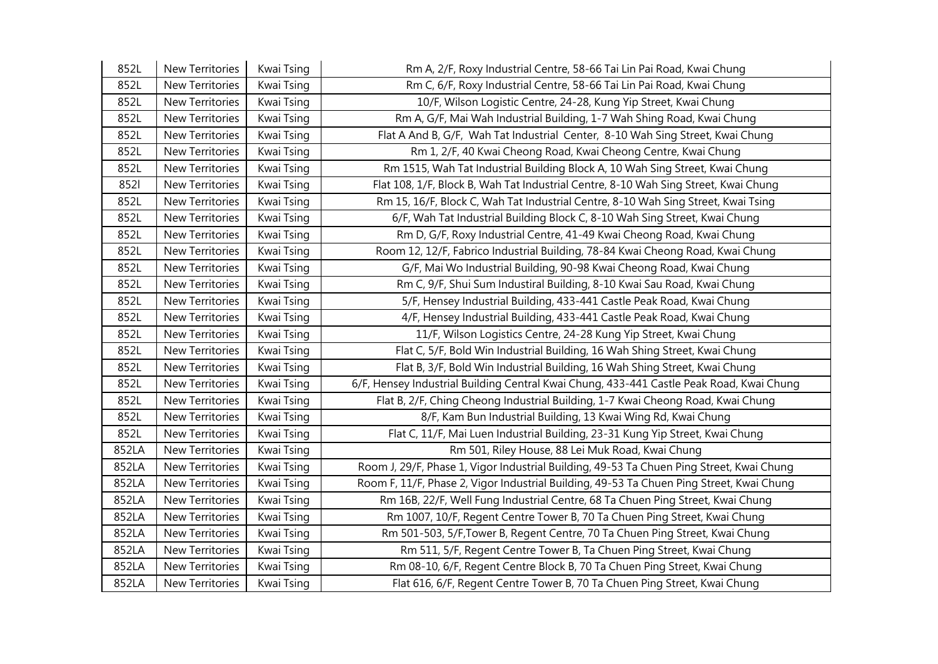| 852L  | New Territories | Kwai Tsing | Rm A, 2/F, Roxy Industrial Centre, 58-66 Tai Lin Pai Road, Kwai Chung                    |
|-------|-----------------|------------|------------------------------------------------------------------------------------------|
| 852L  | New Territories | Kwai Tsing | Rm C, 6/F, Roxy Industrial Centre, 58-66 Tai Lin Pai Road, Kwai Chung                    |
| 852L  | New Territories | Kwai Tsing | 10/F, Wilson Logistic Centre, 24-28, Kung Yip Street, Kwai Chung                         |
| 852L  | New Territories | Kwai Tsing | Rm A, G/F, Mai Wah Industrial Building, 1-7 Wah Shing Road, Kwai Chung                   |
| 852L  | New Territories | Kwai Tsing | Flat A And B, G/F, Wah Tat Industrial Center, 8-10 Wah Sing Street, Kwai Chung           |
| 852L  | New Territories | Kwai Tsing | Rm 1, 2/F, 40 Kwai Cheong Road, Kwai Cheong Centre, Kwai Chung                           |
| 852L  | New Territories | Kwai Tsing | Rm 1515, Wah Tat Industrial Building Block A, 10 Wah Sing Street, Kwai Chung             |
| 8521  | New Territories | Kwai Tsing | Flat 108, 1/F, Block B, Wah Tat Industrial Centre, 8-10 Wah Sing Street, Kwai Chung      |
| 852L  | New Territories | Kwai Tsing | Rm 15, 16/F, Block C, Wah Tat Industrial Centre, 8-10 Wah Sing Street, Kwai Tsing        |
| 852L  | New Territories | Kwai Tsing | 6/F, Wah Tat Industrial Building Block C, 8-10 Wah Sing Street, Kwai Chung               |
| 852L  | New Territories | Kwai Tsing | Rm D, G/F, Roxy Industrial Centre, 41-49 Kwai Cheong Road, Kwai Chung                    |
| 852L  | New Territories | Kwai Tsing | Room 12, 12/F, Fabrico Industrial Building, 78-84 Kwai Cheong Road, Kwai Chung           |
| 852L  | New Territories | Kwai Tsing | G/F, Mai Wo Industrial Building, 90-98 Kwai Cheong Road, Kwai Chung                      |
| 852L  | New Territories | Kwai Tsing | Rm C, 9/F, Shui Sum Industiral Building, 8-10 Kwai Sau Road, Kwai Chung                  |
| 852L  | New Territories | Kwai Tsing | 5/F, Hensey Industrial Building, 433-441 Castle Peak Road, Kwai Chung                    |
| 852L  | New Territories | Kwai Tsing | 4/F, Hensey Industrial Building, 433-441 Castle Peak Road, Kwai Chung                    |
| 852L  | New Territories | Kwai Tsing | 11/F, Wilson Logistics Centre, 24-28 Kung Yip Street, Kwai Chung                         |
| 852L  | New Territories | Kwai Tsing | Flat C, 5/F, Bold Win Industrial Building, 16 Wah Shing Street, Kwai Chung               |
| 852L  | New Territories | Kwai Tsing | Flat B, 3/F, Bold Win Industrial Building, 16 Wah Shing Street, Kwai Chung               |
| 852L  | New Territories | Kwai Tsing | 6/F, Hensey Industrial Building Central Kwai Chung, 433-441 Castle Peak Road, Kwai Chung |
| 852L  | New Territories | Kwai Tsing | Flat B, 2/F, Ching Cheong Industrial Building, 1-7 Kwai Cheong Road, Kwai Chung          |
| 852L  | New Territories | Kwai Tsing | 8/F, Kam Bun Industrial Building, 13 Kwai Wing Rd, Kwai Chung                            |
| 852L  | New Territories | Kwai Tsing | Flat C, 11/F, Mai Luen Industrial Building, 23-31 Kung Yip Street, Kwai Chung            |
| 852LA | New Territories | Kwai Tsing | Rm 501, Riley House, 88 Lei Muk Road, Kwai Chung                                         |
| 852LA | New Territories | Kwai Tsing | Room J, 29/F, Phase 1, Vigor Industrial Building, 49-53 Ta Chuen Ping Street, Kwai Chung |
| 852LA | New Territories | Kwai Tsing | Room F, 11/F, Phase 2, Vigor Industrial Building, 49-53 Ta Chuen Ping Street, Kwai Chung |
| 852LA | New Territories | Kwai Tsing | Rm 16B, 22/F, Well Fung Industrial Centre, 68 Ta Chuen Ping Street, Kwai Chung           |
| 852LA | New Territories | Kwai Tsing | Rm 1007, 10/F, Regent Centre Tower B, 70 Ta Chuen Ping Street, Kwai Chung                |
| 852LA | New Territories | Kwai Tsing | Rm 501-503, 5/F, Tower B, Regent Centre, 70 Ta Chuen Ping Street, Kwai Chung             |
| 852LA | New Territories | Kwai Tsing | Rm 511, 5/F, Regent Centre Tower B, Ta Chuen Ping Street, Kwai Chung                     |
| 852LA | New Territories | Kwai Tsing | Rm 08-10, 6/F, Regent Centre Block B, 70 Ta Chuen Ping Street, Kwai Chung                |
| 852LA | New Territories | Kwai Tsing | Flat 616, 6/F, Regent Centre Tower B, 70 Ta Chuen Ping Street, Kwai Chung                |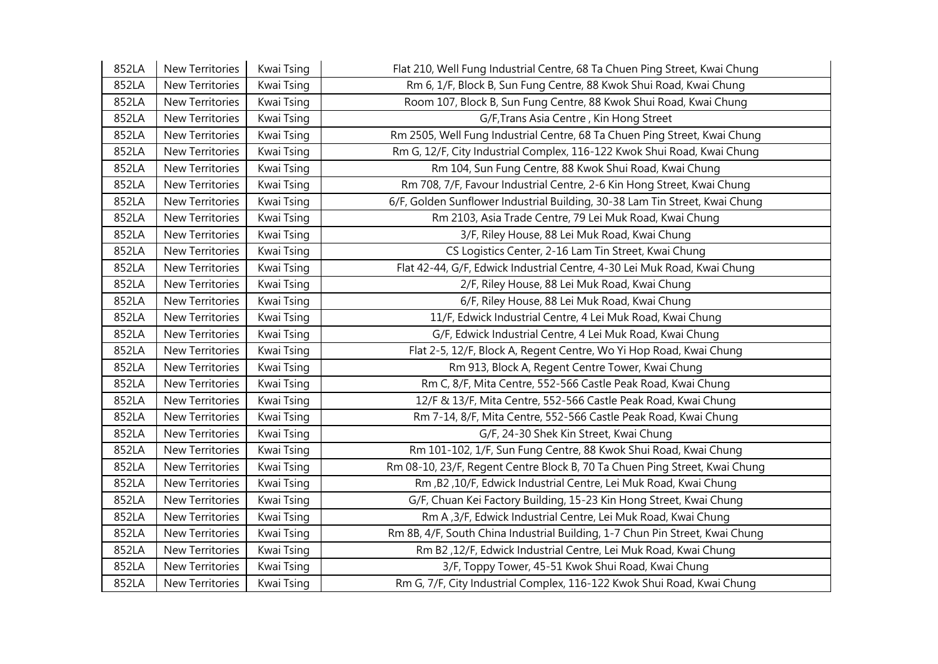| 852LA | New Territories        | Kwai Tsing | Flat 210, Well Fung Industrial Centre, 68 Ta Chuen Ping Street, Kwai Chung   |
|-------|------------------------|------------|------------------------------------------------------------------------------|
| 852LA | New Territories        | Kwai Tsing | Rm 6, 1/F, Block B, Sun Fung Centre, 88 Kwok Shui Road, Kwai Chung           |
| 852LA | New Territories        | Kwai Tsing | Room 107, Block B, Sun Fung Centre, 88 Kwok Shui Road, Kwai Chung            |
| 852LA | New Territories        | Kwai Tsing | G/F, Trans Asia Centre, Kin Hong Street                                      |
| 852LA | New Territories        | Kwai Tsing | Rm 2505, Well Fung Industrial Centre, 68 Ta Chuen Ping Street, Kwai Chung    |
| 852LA | New Territories        | Kwai Tsing | Rm G, 12/F, City Industrial Complex, 116-122 Kwok Shui Road, Kwai Chung      |
| 852LA | New Territories        | Kwai Tsing | Rm 104, Sun Fung Centre, 88 Kwok Shui Road, Kwai Chung                       |
| 852LA | New Territories        | Kwai Tsing | Rm 708, 7/F, Favour Industrial Centre, 2-6 Kin Hong Street, Kwai Chung       |
| 852LA | New Territories        | Kwai Tsing | 6/F, Golden Sunflower Industrial Building, 30-38 Lam Tin Street, Kwai Chung  |
| 852LA | <b>New Territories</b> | Kwai Tsing | Rm 2103, Asia Trade Centre, 79 Lei Muk Road, Kwai Chung                      |
| 852LA | New Territories        | Kwai Tsing | 3/F, Riley House, 88 Lei Muk Road, Kwai Chung                                |
| 852LA | New Territories        | Kwai Tsing | CS Logistics Center, 2-16 Lam Tin Street, Kwai Chung                         |
| 852LA | New Territories        | Kwai Tsing | Flat 42-44, G/F, Edwick Industrial Centre, 4-30 Lei Muk Road, Kwai Chung     |
| 852LA | New Territories        | Kwai Tsing | 2/F, Riley House, 88 Lei Muk Road, Kwai Chung                                |
| 852LA | New Territories        | Kwai Tsing | 6/F, Riley House, 88 Lei Muk Road, Kwai Chung                                |
| 852LA | New Territories        | Kwai Tsing | 11/F, Edwick Industrial Centre, 4 Lei Muk Road, Kwai Chung                   |
| 852LA | New Territories        | Kwai Tsing | G/F, Edwick Industrial Centre, 4 Lei Muk Road, Kwai Chung                    |
| 852LA | New Territories        | Kwai Tsing | Flat 2-5, 12/F, Block A, Regent Centre, Wo Yi Hop Road, Kwai Chung           |
| 852LA | New Territories        | Kwai Tsing | Rm 913, Block A, Regent Centre Tower, Kwai Chung                             |
| 852LA | New Territories        | Kwai Tsing | Rm C, 8/F, Mita Centre, 552-566 Castle Peak Road, Kwai Chung                 |
| 852LA | New Territories        | Kwai Tsing | 12/F & 13/F, Mita Centre, 552-566 Castle Peak Road, Kwai Chung               |
| 852LA | New Territories        | Kwai Tsing | Rm 7-14, 8/F, Mita Centre, 552-566 Castle Peak Road, Kwai Chung              |
| 852LA | New Territories        | Kwai Tsing | G/F, 24-30 Shek Kin Street, Kwai Chung                                       |
| 852LA | New Territories        | Kwai Tsing | Rm 101-102, 1/F, Sun Fung Centre, 88 Kwok Shui Road, Kwai Chung              |
| 852LA | New Territories        | Kwai Tsing | Rm 08-10, 23/F, Regent Centre Block B, 70 Ta Chuen Ping Street, Kwai Chung   |
| 852LA | New Territories        | Kwai Tsing | Rm, B2, 10/F, Edwick Industrial Centre, Lei Muk Road, Kwai Chung             |
| 852LA | New Territories        | Kwai Tsing | G/F, Chuan Kei Factory Building, 15-23 Kin Hong Street, Kwai Chung           |
| 852LA | New Territories        | Kwai Tsing | Rm A, 3/F, Edwick Industrial Centre, Lei Muk Road, Kwai Chung                |
| 852LA | New Territories        | Kwai Tsing | Rm 8B, 4/F, South China Industrial Building, 1-7 Chun Pin Street, Kwai Chung |
| 852LA | New Territories        | Kwai Tsing | Rm B2,12/F, Edwick Industrial Centre, Lei Muk Road, Kwai Chung               |
| 852LA | New Territories        | Kwai Tsing | 3/F, Toppy Tower, 45-51 Kwok Shui Road, Kwai Chung                           |
| 852LA | <b>New Territories</b> | Kwai Tsing | Rm G, 7/F, City Industrial Complex, 116-122 Kwok Shui Road, Kwai Chung       |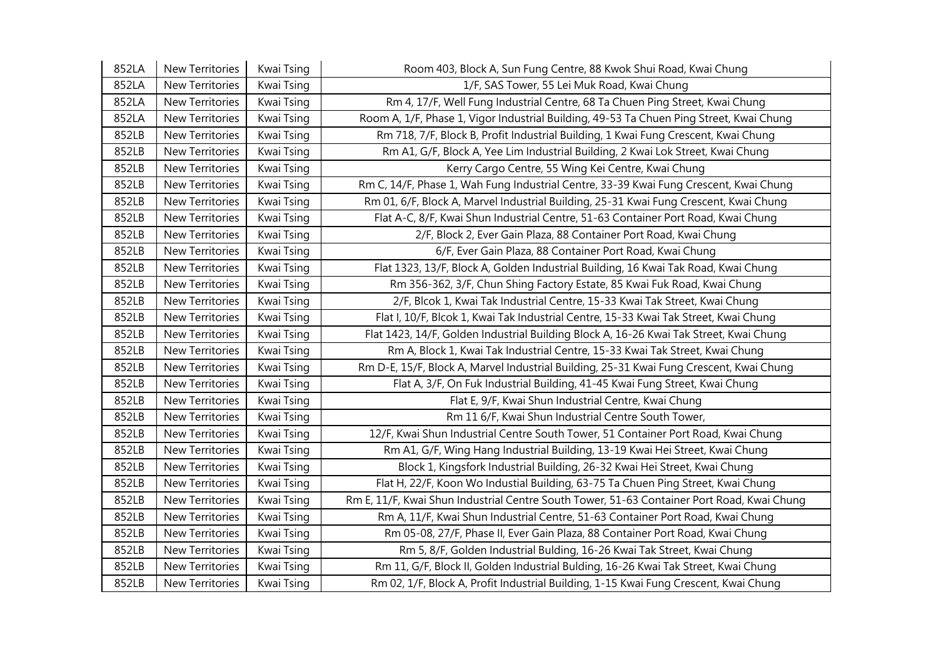| 852LA | <b>New Territories</b> | Kwai Tsing | Room 403, Block A, Sun Fung Centre, 88 Kwok Shui Road, Kwai Chung                          |
|-------|------------------------|------------|--------------------------------------------------------------------------------------------|
| 852LA | New Territories        | Kwai Tsing | 1/F, SAS Tower, 55 Lei Muk Road, Kwai Chung                                                |
| 852LA | New Territories        | Kwai Tsing | Rm 4, 17/F, Well Fung Industrial Centre, 68 Ta Chuen Ping Street, Kwai Chung               |
| 852LA | <b>New Territories</b> | Kwai Tsing | Room A, 1/F, Phase 1, Vigor Industrial Building, 49-53 Ta Chuen Ping Street, Kwai Chung    |
| 852LB | <b>New Territories</b> | Kwai Tsing | Rm 718, 7/F, Block B, Profit Industrial Building, 1 Kwai Fung Crescent, Kwai Chung         |
| 852LB | New Territories        | Kwai Tsing | Rm A1, G/F, Block A, Yee Lim Industrial Building, 2 Kwai Lok Street, Kwai Chung            |
| 852LB | New Territories        | Kwai Tsing | Kerry Cargo Centre, 55 Wing Kei Centre, Kwai Chung                                         |
| 852LB | New Territories        | Kwai Tsing | Rm C, 14/F, Phase 1, Wah Fung Industrial Centre, 33-39 Kwai Fung Crescent, Kwai Chung      |
| 852LB | New Territories        | Kwai Tsing | Rm 01, 6/F, Block A, Marvel Industrial Building, 25-31 Kwai Fung Crescent, Kwai Chung      |
| 852LB | New Territories        | Kwai Tsing | Flat A-C, 8/F, Kwai Shun Industrial Centre, 51-63 Container Port Road, Kwai Chung          |
| 852LB | New Territories        | Kwai Tsing | 2/F, Block 2, Ever Gain Plaza, 88 Container Port Road, Kwai Chung                          |
| 852LB | New Territories        | Kwai Tsing | 6/F, Ever Gain Plaza, 88 Container Port Road, Kwai Chung                                   |
| 852LB | New Territories        | Kwai Tsing | Flat 1323, 13/F, Block A, Golden Industrial Building, 16 Kwai Tak Road, Kwai Chung         |
| 852LB | New Territories        | Kwai Tsing | Rm 356-362, 3/F, Chun Shing Factory Estate, 85 Kwai Fuk Road, Kwai Chung                   |
| 852LB | New Territories        | Kwai Tsing | 2/F, Blcok 1, Kwai Tak Industrial Centre, 15-33 Kwai Tak Street, Kwai Chung                |
| 852LB | New Territories        | Kwai Tsing | Flat I, 10/F, Blcok 1, Kwai Tak Industrial Centre, 15-33 Kwai Tak Street, Kwai Chung       |
| 852LB | <b>New Territories</b> | Kwai Tsing | Flat 1423, 14/F, Golden Industrial Building Block A, 16-26 Kwai Tak Street, Kwai Chung     |
| 852LB | New Territories        | Kwai Tsing | Rm A, Block 1, Kwai Tak Industrial Centre, 15-33 Kwai Tak Street, Kwai Chung               |
| 852LB | New Territories        | Kwai Tsing | Rm D-E, 15/F, Block A, Marvel Industrial Building, 25-31 Kwai Fung Crescent, Kwai Chung    |
| 852LB | New Territories        | Kwai Tsing | Flat A, 3/F, On Fuk Industrial Building, 41-45 Kwai Fung Street, Kwai Chung                |
| 852LB | New Territories        | Kwai Tsing | Flat E, 9/F, Kwai Shun Industrial Centre, Kwai Chung                                       |
| 852LB | New Territories        | Kwai Tsing | Rm 11 6/F, Kwai Shun Industrial Centre South Tower,                                        |
| 852LB | New Territories        | Kwai Tsing | 12/F, Kwai Shun Industrial Centre South Tower, 51 Container Port Road, Kwai Chung          |
| 852LB | New Territories        | Kwai Tsing | Rm A1, G/F, Wing Hang Industrial Building, 13-19 Kwai Hei Street, Kwai Chung               |
| 852LB | New Territories        | Kwai Tsing | Block 1, Kingsfork Industrial Building, 26-32 Kwai Hei Street, Kwai Chung                  |
| 852LB | New Territories        | Kwai Tsing | Flat H, 22/F, Koon Wo Industial Building, 63-75 Ta Chuen Ping Street, Kwai Chung           |
| 852LB | New Territories        | Kwai Tsing | Rm E, 11/F, Kwai Shun Industrial Centre South Tower, 51-63 Container Port Road, Kwai Chung |
| 852LB | New Territories        | Kwai Tsing | Rm A, 11/F, Kwai Shun Industrial Centre, 51-63 Container Port Road, Kwai Chung             |
| 852LB | <b>New Territories</b> | Kwai Tsing | Rm 05-08, 27/F, Phase II, Ever Gain Plaza, 88 Container Port Road, Kwai Chung              |
| 852LB | New Territories        | Kwai Tsing | Rm 5, 8/F, Golden Industrial Bulding, 16-26 Kwai Tak Street, Kwai Chung                    |
| 852LB | New Territories        | Kwai Tsing | Rm 11, G/F, Block II, Golden Industrial Bulding, 16-26 Kwai Tak Street, Kwai Chung         |
| 852LB | <b>New Territories</b> | Kwai Tsing | Rm 02, 1/F, Block A, Profit Industrial Building, 1-15 Kwai Fung Crescent, Kwai Chung       |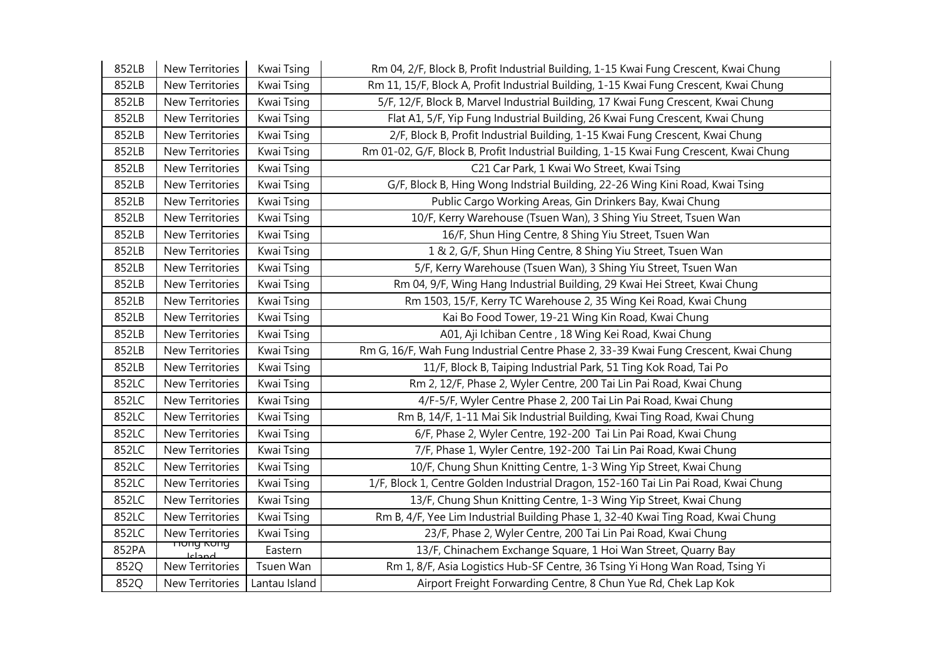| 852LB | New Territories                | Kwai Tsing | Rm 04, 2/F, Block B, Profit Industrial Building, 1-15 Kwai Fung Crescent, Kwai Chung    |
|-------|--------------------------------|------------|-----------------------------------------------------------------------------------------|
| 852LB | New Territories                | Kwai Tsing | Rm 11, 15/F, Block A, Profit Industrial Building, 1-15 Kwai Fung Crescent, Kwai Chung   |
| 852LB | New Territories                | Kwai Tsing | 5/F, 12/F, Block B, Marvel Industrial Building, 17 Kwai Fung Crescent, Kwai Chung       |
| 852LB | <b>New Territories</b>         | Kwai Tsing | Flat A1, 5/F, Yip Fung Industrial Building, 26 Kwai Fung Crescent, Kwai Chung           |
| 852LB | New Territories                | Kwai Tsing | 2/F, Block B, Profit Industrial Building, 1-15 Kwai Fung Crescent, Kwai Chung           |
| 852LB | New Territories                | Kwai Tsing | Rm 01-02, G/F, Block B, Profit Industrial Building, 1-15 Kwai Fung Crescent, Kwai Chung |
| 852LB | New Territories                | Kwai Tsing | C21 Car Park, 1 Kwai Wo Street, Kwai Tsing                                              |
| 852LB | New Territories                | Kwai Tsing | G/F, Block B, Hing Wong Indstrial Building, 22-26 Wing Kini Road, Kwai Tsing            |
| 852LB | New Territories                | Kwai Tsing | Public Cargo Working Areas, Gin Drinkers Bay, Kwai Chung                                |
| 852LB | New Territories                | Kwai Tsing | 10/F, Kerry Warehouse (Tsuen Wan), 3 Shing Yiu Street, Tsuen Wan                        |
| 852LB | New Territories                | Kwai Tsing | 16/F, Shun Hing Centre, 8 Shing Yiu Street, Tsuen Wan                                   |
| 852LB | New Territories                | Kwai Tsing | 1 & 2, G/F, Shun Hing Centre, 8 Shing Yiu Street, Tsuen Wan                             |
| 852LB | New Territories                | Kwai Tsing | 5/F, Kerry Warehouse (Tsuen Wan), 3 Shing Yiu Street, Tsuen Wan                         |
| 852LB | New Territories                | Kwai Tsing | Rm 04, 9/F, Wing Hang Industrial Building, 29 Kwai Hei Street, Kwai Chung               |
| 852LB | New Territories                | Kwai Tsing | Rm 1503, 15/F, Kerry TC Warehouse 2, 35 Wing Kei Road, Kwai Chung                       |
| 852LB | New Territories                | Kwai Tsing | Kai Bo Food Tower, 19-21 Wing Kin Road, Kwai Chung                                      |
|       |                                |            |                                                                                         |
| 852LB | New Territories                | Kwai Tsing | A01, Aji Ichiban Centre, 18 Wing Kei Road, Kwai Chung                                   |
| 852LB | New Territories                | Kwai Tsing | Rm G, 16/F, Wah Fung Industrial Centre Phase 2, 33-39 Kwai Fung Crescent, Kwai Chung    |
| 852LB | New Territories                | Kwai Tsing | 11/F, Block B, Taiping Industrial Park, 51 Ting Kok Road, Tai Po                        |
| 852LC | New Territories                | Kwai Tsing | Rm 2, 12/F, Phase 2, Wyler Centre, 200 Tai Lin Pai Road, Kwai Chung                     |
| 852LC | New Territories                | Kwai Tsing | 4/F-5/F, Wyler Centre Phase 2, 200 Tai Lin Pai Road, Kwai Chung                         |
| 852LC | New Territories                | Kwai Tsing | Rm B, 14/F, 1-11 Mai Sik Industrial Building, Kwai Ting Road, Kwai Chung                |
| 852LC | <b>New Territories</b>         | Kwai Tsing | 6/F, Phase 2, Wyler Centre, 192-200 Tai Lin Pai Road, Kwai Chung                        |
| 852LC | New Territories                | Kwai Tsing | 7/F, Phase 1, Wyler Centre, 192-200 Tai Lin Pai Road, Kwai Chung                        |
| 852LC | New Territories                | Kwai Tsing | 10/F, Chung Shun Knitting Centre, 1-3 Wing Yip Street, Kwai Chung                       |
| 852LC | New Territories                | Kwai Tsing | 1/F, Block 1, Centre Golden Industrial Dragon, 152-160 Tai Lin Pai Road, Kwai Chung     |
| 852LC | New Territories                | Kwai Tsing | 13/F, Chung Shun Knitting Centre, 1-3 Wing Yip Street, Kwai Chung                       |
| 852LC | New Territories                | Kwai Tsing | Rm B, 4/F, Yee Lim Industrial Building Phase 1, 32-40 Kwai Ting Road, Kwai Chung        |
| 852LC | New Territories                | Kwai Tsing | 23/F, Phase 2, Wyler Centre, 200 Tai Lin Pai Road, Kwai Chung                           |
| 852PA | <del>nung Kung</del><br>Icland | Eastern    | 13/F, Chinachem Exchange Square, 1 Hoi Wan Street, Quarry Bay                           |
| 852Q  | New Territories                | Tsuen Wan  | Rm 1, 8/F, Asia Logistics Hub-SF Centre, 36 Tsing Yi Hong Wan Road, Tsing Yi            |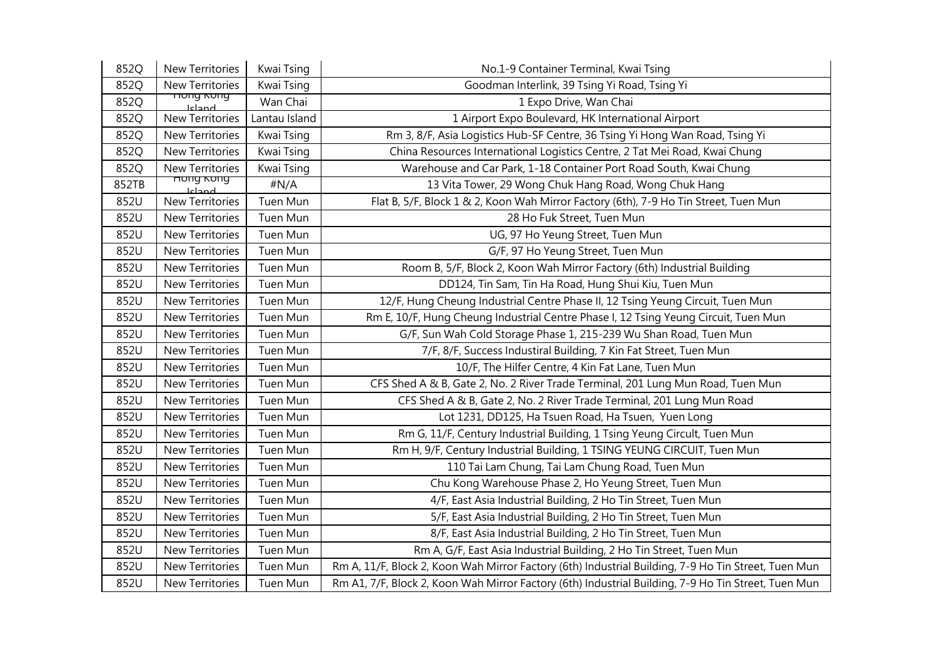| 852Q  | New Territories                 | Kwai Tsing    | No.1-9 Container Terminal, Kwai Tsing                                                               |
|-------|---------------------------------|---------------|-----------------------------------------------------------------------------------------------------|
| 852Q  | New Territories                 | Kwai Tsing    | Goodman Interlink, 39 Tsing Yi Road, Tsing Yi                                                       |
| 852Q  | nung Kung<br><b>Jeland</b>      | Wan Chai      | 1 Expo Drive, Wan Chai                                                                              |
| 852Q  | New Territories                 | Lantau Island | 1 Airport Expo Boulevard, HK International Airport                                                  |
| 852Q  | New Territories                 | Kwai Tsing    | Rm 3, 8/F, Asia Logistics Hub-SF Centre, 36 Tsing Yi Hong Wan Road, Tsing Yi                        |
| 852Q  | <b>New Territories</b>          | Kwai Tsing    | China Resources International Logistics Centre, 2 Tat Mei Road, Kwai Chung                          |
| 852Q  | New Territories                 | Kwai Tsing    | Warehouse and Car Park, 1-18 Container Port Road South, Kwai Chung                                  |
| 852TB | <del>nong kong</del><br>لمصحاعا | #N/A          | 13 Vita Tower, 29 Wong Chuk Hang Road, Wong Chuk Hang                                               |
| 852U  | New Territories                 | Tuen Mun      | Flat B, 5/F, Block 1 & 2, Koon Wah Mirror Factory (6th), 7-9 Ho Tin Street, Tuen Mun                |
| 852U  | New Territories                 | Tuen Mun      | 28 Ho Fuk Street, Tuen Mun                                                                          |
| 852U  | New Territories                 | Tuen Mun      | UG, 97 Ho Yeung Street, Tuen Mun                                                                    |
| 852U  | New Territories                 | Tuen Mun      | G/F, 97 Ho Yeung Street, Tuen Mun                                                                   |
| 852U  | New Territories                 | Tuen Mun      | Room B, 5/F, Block 2, Koon Wah Mirror Factory (6th) Industrial Building                             |
| 852U  | New Territories                 | Tuen Mun      | DD124, Tin Sam, Tin Ha Road, Hung Shui Kiu, Tuen Mun                                                |
| 852U  | New Territories                 | Tuen Mun      | 12/F, Hung Cheung Industrial Centre Phase II, 12 Tsing Yeung Circuit, Tuen Mun                      |
| 852U  | <b>New Territories</b>          | Tuen Mun      | Rm E, 10/F, Hung Cheung Industrial Centre Phase I, 12 Tsing Yeung Circuit, Tuen Mun                 |
| 852U  | New Territories                 | Tuen Mun      | G/F, Sun Wah Cold Storage Phase 1, 215-239 Wu Shan Road, Tuen Mun                                   |
| 852U  | <b>New Territories</b>          | Tuen Mun      | 7/F, 8/F, Success Industiral Building, 7 Kin Fat Street, Tuen Mun                                   |
| 852U  | <b>New Territories</b>          | Tuen Mun      | 10/F, The Hilfer Centre, 4 Kin Fat Lane, Tuen Mun                                                   |
| 852U  | New Territories                 | Tuen Mun      | CFS Shed A & B, Gate 2, No. 2 River Trade Terminal, 201 Lung Mun Road, Tuen Mun                     |
| 852U  | New Territories                 | Tuen Mun      | CFS Shed A & B, Gate 2, No. 2 River Trade Terminal, 201 Lung Mun Road                               |
| 852U  | New Territories                 | Tuen Mun      | Lot 1231, DD125, Ha Tsuen Road, Ha Tsuen, Yuen Long                                                 |
| 852U  | New Territories                 | Tuen Mun      | Rm G, 11/F, Century Industrial Building, 1 Tsing Yeung Circult, Tuen Mun                            |
| 852U  | New Territories                 | Tuen Mun      | Rm H, 9/F, Century Industrial Building, 1 TSING YEUNG CIRCUIT, Tuen Mun                             |
| 852U  | <b>New Territories</b>          | Tuen Mun      | 110 Tai Lam Chung, Tai Lam Chung Road, Tuen Mun                                                     |
| 852U  | New Territories                 | Tuen Mun      | Chu Kong Warehouse Phase 2, Ho Yeung Street, Tuen Mun                                               |
| 852U  | New Territories                 | Tuen Mun      | 4/F, East Asia Industrial Building, 2 Ho Tin Street, Tuen Mun                                       |
| 852U  | New Territories                 | Tuen Mun      | 5/F, East Asia Industrial Building, 2 Ho Tin Street, Tuen Mun                                       |
| 852U  | New Territories                 | Tuen Mun      | 8/F, East Asia Industrial Building, 2 Ho Tin Street, Tuen Mun                                       |
| 852U  | New Territories                 | Tuen Mun      | Rm A, G/F, East Asia Industrial Building, 2 Ho Tin Street, Tuen Mun                                 |
| 852U  | New Territories                 | Tuen Mun      | Rm A, 11/F, Block 2, Koon Wah Mirror Factory (6th) Industrial Building, 7-9 Ho Tin Street, Tuen Mun |
| 852U  | <b>New Territories</b>          | Tuen Mun      | Rm A1, 7/F, Block 2, Koon Wah Mirror Factory (6th) Industrial Building, 7-9 Ho Tin Street, Tuen Mun |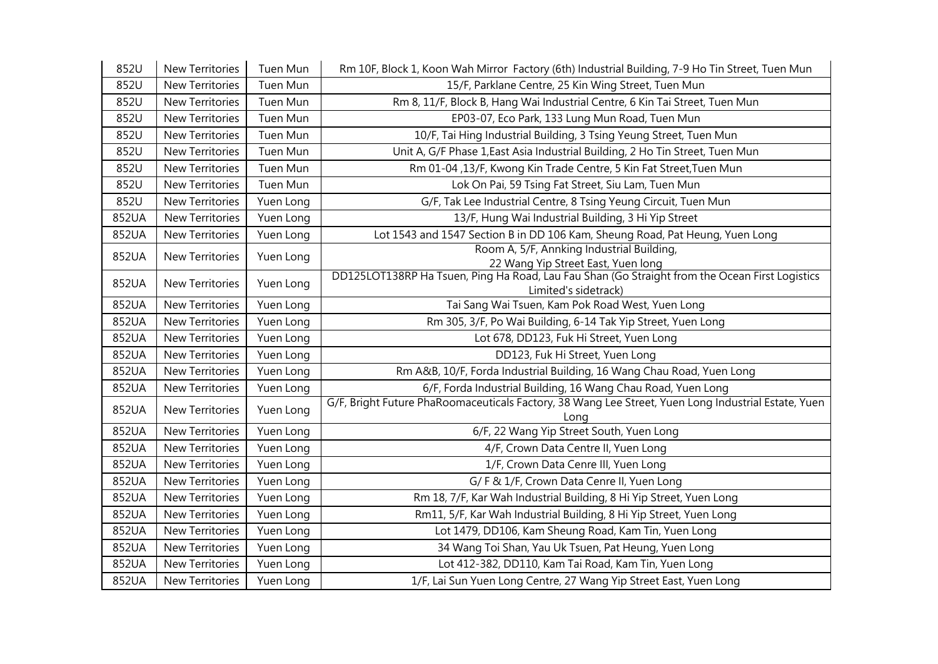| 852U  | <b>New Territories</b> | <b>Tuen Mun</b> | Rm 10F, Block 1, Koon Wah Mirror Factory (6th) Industrial Building, 7-9 Ho Tin Street, Tuen Mun                        |
|-------|------------------------|-----------------|------------------------------------------------------------------------------------------------------------------------|
| 852U  | New Territories        | Tuen Mun        | 15/F, Parklane Centre, 25 Kin Wing Street, Tuen Mun                                                                    |
| 852U  | <b>New Territories</b> | Tuen Mun        | Rm 8, 11/F, Block B, Hang Wai Industrial Centre, 6 Kin Tai Street, Tuen Mun                                            |
| 852U  | <b>New Territories</b> | Tuen Mun        | EP03-07, Eco Park, 133 Lung Mun Road, Tuen Mun                                                                         |
| 852U  | <b>New Territories</b> | Tuen Mun        | 10/F, Tai Hing Industrial Building, 3 Tsing Yeung Street, Tuen Mun                                                     |
| 852U  | <b>New Territories</b> | Tuen Mun        | Unit A, G/F Phase 1, East Asia Industrial Building, 2 Ho Tin Street, Tuen Mun                                          |
| 852U  | New Territories        | Tuen Mun        | Rm 01-04, 13/F, Kwong Kin Trade Centre, 5 Kin Fat Street, Tuen Mun                                                     |
| 852U  | New Territories        | Tuen Mun        | Lok On Pai, 59 Tsing Fat Street, Siu Lam, Tuen Mun                                                                     |
| 852U  | New Territories        | Yuen Long       | G/F, Tak Lee Industrial Centre, 8 Tsing Yeung Circuit, Tuen Mun                                                        |
| 852UA | <b>New Territories</b> | Yuen Long       | 13/F, Hung Wai Industrial Building, 3 Hi Yip Street                                                                    |
| 852UA | <b>New Territories</b> | Yuen Long       | Lot 1543 and 1547 Section B in DD 106 Kam, Sheung Road, Pat Heung, Yuen Long                                           |
| 852UA | <b>New Territories</b> | Yuen Long       | Room A, 5/F, Annking Industrial Building,<br>22 Wang Yip Street East, Yuen long                                        |
| 852UA | <b>New Territories</b> | Yuen Long       | DD125LOT138RP Ha Tsuen, Ping Ha Road, Lau Fau Shan (Go Straight from the Ocean First Logistics<br>Limited's sidetrack) |
| 852UA | <b>New Territories</b> | Yuen Long       | Tai Sang Wai Tsuen, Kam Pok Road West, Yuen Long                                                                       |
| 852UA | New Territories        | Yuen Long       | Rm 305, 3/F, Po Wai Building, 6-14 Tak Yip Street, Yuen Long                                                           |
| 852UA | <b>New Territories</b> | Yuen Long       | Lot 678, DD123, Fuk Hi Street, Yuen Long                                                                               |
| 852UA | New Territories        | Yuen Long       | DD123, Fuk Hi Street, Yuen Long                                                                                        |
| 852UA | New Territories        | Yuen Long       | Rm A&B, 10/F, Forda Industrial Building, 16 Wang Chau Road, Yuen Long                                                  |
| 852UA | <b>New Territories</b> | Yuen Long       | 6/F, Forda Industrial Building, 16 Wang Chau Road, Yuen Long                                                           |
| 852UA | <b>New Territories</b> | Yuen Long       | G/F, Bright Future PhaRoomaceuticals Factory, 38 Wang Lee Street, Yuen Long Industrial Estate, Yuen<br>Long            |
| 852UA | New Territories        | Yuen Long       | 6/F, 22 Wang Yip Street South, Yuen Long                                                                               |
| 852UA | <b>New Territories</b> | Yuen Long       | 4/F, Crown Data Centre II, Yuen Long                                                                                   |
| 852UA | <b>New Territories</b> | Yuen Long       | 1/F, Crown Data Cenre III, Yuen Long                                                                                   |
| 852UA | <b>New Territories</b> | Yuen Long       | G/F & 1/F, Crown Data Cenre II, Yuen Long                                                                              |
| 852UA | New Territories        | Yuen Long       | Rm 18, 7/F, Kar Wah Industrial Building, 8 Hi Yip Street, Yuen Long                                                    |
| 852UA | <b>New Territories</b> | Yuen Long       | Rm11, 5/F, Kar Wah Industrial Building, 8 Hi Yip Street, Yuen Long                                                     |
| 852UA | <b>New Territories</b> | Yuen Long       | Lot 1479, DD106, Kam Sheung Road, Kam Tin, Yuen Long                                                                   |
| 852UA | <b>New Territories</b> | Yuen Long       | 34 Wang Toi Shan, Yau Uk Tsuen, Pat Heung, Yuen Long                                                                   |
| 852UA | New Territories        | Yuen Long       | Lot 412-382, DD110, Kam Tai Road, Kam Tin, Yuen Long                                                                   |
| 852UA | <b>New Territories</b> | Yuen Long       | 1/F, Lai Sun Yuen Long Centre, 27 Wang Yip Street East, Yuen Long                                                      |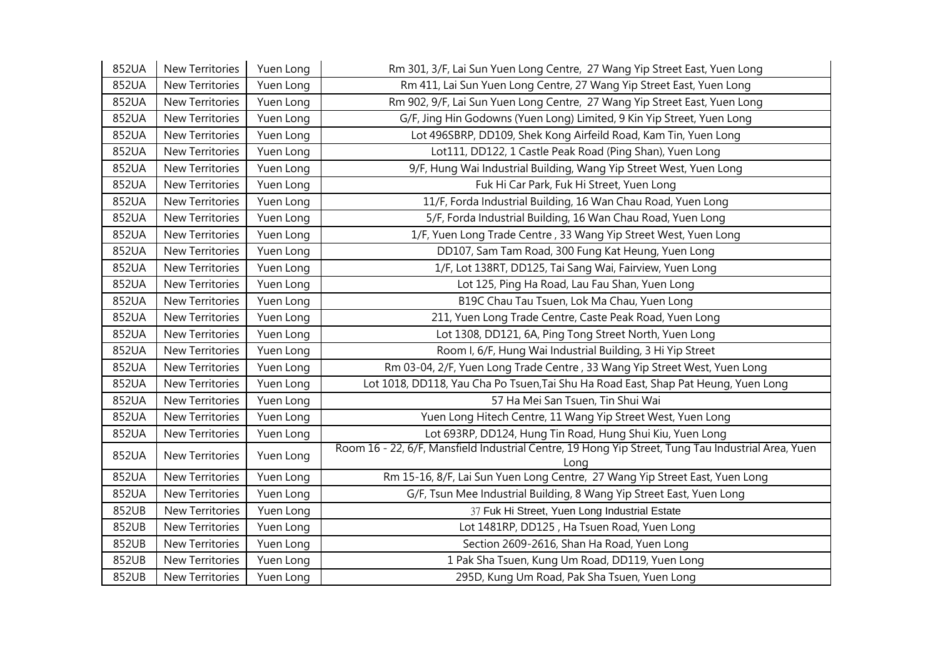| 852UA | New Territories        | Yuen Long | Rm 301, 3/F, Lai Sun Yuen Long Centre, 27 Wang Yip Street East, Yuen Long                                  |
|-------|------------------------|-----------|------------------------------------------------------------------------------------------------------------|
| 852UA | New Territories        | Yuen Long | Rm 411, Lai Sun Yuen Long Centre, 27 Wang Yip Street East, Yuen Long                                       |
| 852UA | New Territories        | Yuen Long | Rm 902, 9/F, Lai Sun Yuen Long Centre, 27 Wang Yip Street East, Yuen Long                                  |
| 852UA | New Territories        | Yuen Long | G/F, Jing Hin Godowns (Yuen Long) Limited, 9 Kin Yip Street, Yuen Long                                     |
| 852UA | <b>New Territories</b> | Yuen Long | Lot 496SBRP, DD109, Shek Kong Airfeild Road, Kam Tin, Yuen Long                                            |
| 852UA | New Territories        | Yuen Long | Lot111, DD122, 1 Castle Peak Road (Ping Shan), Yuen Long                                                   |
| 852UA | New Territories        | Yuen Long | 9/F, Hung Wai Industrial Building, Wang Yip Street West, Yuen Long                                         |
| 852UA | New Territories        | Yuen Long | Fuk Hi Car Park, Fuk Hi Street, Yuen Long                                                                  |
| 852UA | New Territories        | Yuen Long | 11/F, Forda Industrial Building, 16 Wan Chau Road, Yuen Long                                               |
| 852UA | New Territories        | Yuen Long | 5/F, Forda Industrial Building, 16 Wan Chau Road, Yuen Long                                                |
| 852UA | New Territories        | Yuen Long | 1/F, Yuen Long Trade Centre, 33 Wang Yip Street West, Yuen Long                                            |
| 852UA | <b>New Territories</b> | Yuen Long | DD107, Sam Tam Road, 300 Fung Kat Heung, Yuen Long                                                         |
| 852UA | New Territories        | Yuen Long | 1/F, Lot 138RT, DD125, Tai Sang Wai, Fairview, Yuen Long                                                   |
| 852UA | New Territories        | Yuen Long | Lot 125, Ping Ha Road, Lau Fau Shan, Yuen Long                                                             |
| 852UA | New Territories        | Yuen Long | B19C Chau Tau Tsuen, Lok Ma Chau, Yuen Long                                                                |
| 852UA | New Territories        | Yuen Long | 211, Yuen Long Trade Centre, Caste Peak Road, Yuen Long                                                    |
| 852UA | New Territories        | Yuen Long | Lot 1308, DD121, 6A, Ping Tong Street North, Yuen Long                                                     |
| 852UA | New Territories        | Yuen Long | Room I, 6/F, Hung Wai Industrial Building, 3 Hi Yip Street                                                 |
| 852UA | New Territories        | Yuen Long | Rm 03-04, 2/F, Yuen Long Trade Centre, 33 Wang Yip Street West, Yuen Long                                  |
| 852UA | <b>New Territories</b> | Yuen Long | Lot 1018, DD118, Yau Cha Po Tsuen, Tai Shu Ha Road East, Shap Pat Heung, Yuen Long                         |
| 852UA | New Territories        | Yuen Long | 57 Ha Mei San Tsuen, Tin Shui Wai                                                                          |
| 852UA | New Territories        | Yuen Long | Yuen Long Hitech Centre, 11 Wang Yip Street West, Yuen Long                                                |
| 852UA | New Territories        | Yuen Long | Lot 693RP, DD124, Hung Tin Road, Hung Shui Kiu, Yuen Long                                                  |
| 852UA | New Territories        | Yuen Long | Room 16 - 22, 6/F, Mansfield Industrial Centre, 19 Hong Yip Street, Tung Tau Industrial Area, Yuen<br>Long |
| 852UA | New Territories        | Yuen Long | Rm 15-16, 8/F, Lai Sun Yuen Long Centre, 27 Wang Yip Street East, Yuen Long                                |
| 852UA | <b>New Territories</b> | Yuen Long | G/F, Tsun Mee Industrial Building, 8 Wang Yip Street East, Yuen Long                                       |
| 852UB | New Territories        | Yuen Long | 37 Fuk Hi Street, Yuen Long Industrial Estate                                                              |
| 852UB | New Territories        | Yuen Long | Lot 1481RP, DD125, Ha Tsuen Road, Yuen Long                                                                |
| 852UB | New Territories        | Yuen Long | Section 2609-2616, Shan Ha Road, Yuen Long                                                                 |
| 852UB | New Territories        | Yuen Long | 1 Pak Sha Tsuen, Kung Um Road, DD119, Yuen Long                                                            |
| 852UB | <b>New Territories</b> | Yuen Long | 295D, Kung Um Road, Pak Sha Tsuen, Yuen Long                                                               |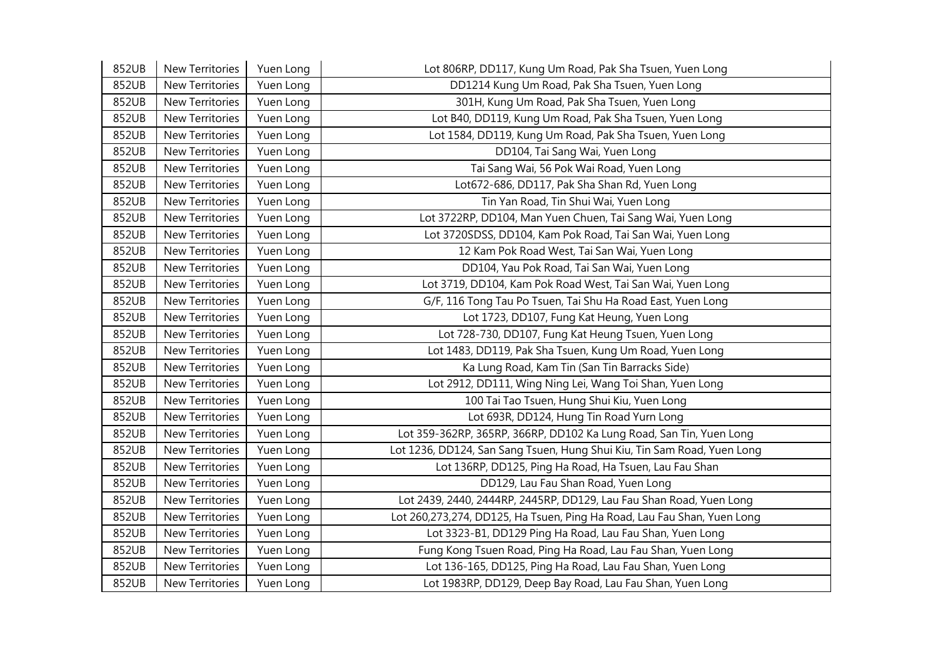| 852UB | <b>New Territories</b> | Yuen Long | Lot 806RP, DD117, Kung Um Road, Pak Sha Tsuen, Yuen Long                |
|-------|------------------------|-----------|-------------------------------------------------------------------------|
| 852UB | New Territories        | Yuen Long | DD1214 Kung Um Road, Pak Sha Tsuen, Yuen Long                           |
| 852UB | New Territories        | Yuen Long | 301H, Kung Um Road, Pak Sha Tsuen, Yuen Long                            |
| 852UB | <b>New Territories</b> | Yuen Long | Lot B40, DD119, Kung Um Road, Pak Sha Tsuen, Yuen Long                  |
| 852UB | New Territories        | Yuen Long | Lot 1584, DD119, Kung Um Road, Pak Sha Tsuen, Yuen Long                 |
| 852UB | New Territories        | Yuen Long | DD104, Tai Sang Wai, Yuen Long                                          |
| 852UB | <b>New Territories</b> | Yuen Long | Tai Sang Wai, 56 Pok Wai Road, Yuen Long                                |
| 852UB | New Territories        | Yuen Long | Lot672-686, DD117, Pak Sha Shan Rd, Yuen Long                           |
| 852UB | New Territories        | Yuen Long | Tin Yan Road, Tin Shui Wai, Yuen Long                                   |
| 852UB | <b>New Territories</b> | Yuen Long | Lot 3722RP, DD104, Man Yuen Chuen, Tai Sang Wai, Yuen Long              |
| 852UB | New Territories        | Yuen Long | Lot 3720SDSS, DD104, Kam Pok Road, Tai San Wai, Yuen Long               |
| 852UB | New Territories        | Yuen Long | 12 Kam Pok Road West, Tai San Wai, Yuen Long                            |
| 852UB | <b>New Territories</b> | Yuen Long | DD104, Yau Pok Road, Tai San Wai, Yuen Long                             |
| 852UB | New Territories        | Yuen Long | Lot 3719, DD104, Kam Pok Road West, Tai San Wai, Yuen Long              |
| 852UB | New Territories        | Yuen Long | G/F, 116 Tong Tau Po Tsuen, Tai Shu Ha Road East, Yuen Long             |
| 852UB | <b>New Territories</b> | Yuen Long | Lot 1723, DD107, Fung Kat Heung, Yuen Long                              |
| 852UB | New Territories        | Yuen Long | Lot 728-730, DD107, Fung Kat Heung Tsuen, Yuen Long                     |
| 852UB | New Territories        | Yuen Long | Lot 1483, DD119, Pak Sha Tsuen, Kung Um Road, Yuen Long                 |
| 852UB | New Territories        | Yuen Long | Ka Lung Road, Kam Tin (San Tin Barracks Side)                           |
| 852UB | New Territories        | Yuen Long | Lot 2912, DD111, Wing Ning Lei, Wang Toi Shan, Yuen Long                |
| 852UB | New Territories        | Yuen Long | 100 Tai Tao Tsuen, Hung Shui Kiu, Yuen Long                             |
| 852UB | New Territories        | Yuen Long | Lot 693R, DD124, Hung Tin Road Yurn Long                                |
| 852UB | <b>New Territories</b> | Yuen Long | Lot 359-362RP, 365RP, 366RP, DD102 Ka Lung Road, San Tin, Yuen Long     |
| 852UB | <b>New Territories</b> | Yuen Long | Lot 1236, DD124, San Sang Tsuen, Hung Shui Kiu, Tin Sam Road, Yuen Long |
| 852UB | New Territories        | Yuen Long | Lot 136RP, DD125, Ping Ha Road, Ha Tsuen, Lau Fau Shan                  |
| 852UB | New Territories        | Yuen Long | DD129, Lau Fau Shan Road, Yuen Long                                     |
| 852UB | New Territories        | Yuen Long | Lot 2439, 2440, 2444RP, 2445RP, DD129, Lau Fau Shan Road, Yuen Long     |
| 852UB | New Territories        | Yuen Long | Lot 260,273,274, DD125, Ha Tsuen, Ping Ha Road, Lau Fau Shan, Yuen Long |
| 852UB | New Territories        | Yuen Long | Lot 3323-B1, DD129 Ping Ha Road, Lau Fau Shan, Yuen Long                |
| 852UB | New Territories        | Yuen Long | Fung Kong Tsuen Road, Ping Ha Road, Lau Fau Shan, Yuen Long             |
| 852UB | New Territories        | Yuen Long | Lot 136-165, DD125, Ping Ha Road, Lau Fau Shan, Yuen Long               |
| 852UB | New Territories        | Yuen Long | Lot 1983RP, DD129, Deep Bay Road, Lau Fau Shan, Yuen Long               |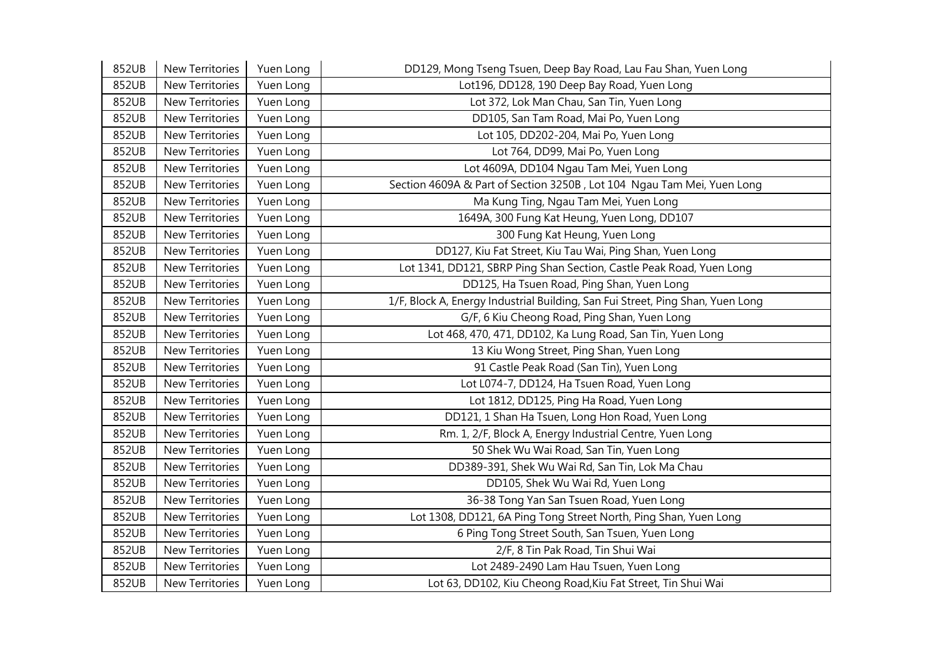| 852UB | New Territories        | Yuen Long | DD129, Mong Tseng Tsuen, Deep Bay Road, Lau Fau Shan, Yuen Long                |
|-------|------------------------|-----------|--------------------------------------------------------------------------------|
| 852UB | <b>New Territories</b> | Yuen Long | Lot196, DD128, 190 Deep Bay Road, Yuen Long                                    |
| 852UB | <b>New Territories</b> | Yuen Long | Lot 372, Lok Man Chau, San Tin, Yuen Long                                      |
| 852UB | New Territories        | Yuen Long | DD105, San Tam Road, Mai Po, Yuen Long                                         |
| 852UB | <b>New Territories</b> | Yuen Long | Lot 105, DD202-204, Mai Po, Yuen Long                                          |
| 852UB | New Territories        | Yuen Long | Lot 764, DD99, Mai Po, Yuen Long                                               |
| 852UB | <b>New Territories</b> | Yuen Long | Lot 4609A, DD104 Ngau Tam Mei, Yuen Long                                       |
| 852UB | <b>New Territories</b> | Yuen Long | Section 4609A & Part of Section 3250B, Lot 104 Ngau Tam Mei, Yuen Long         |
| 852UB | New Territories        | Yuen Long | Ma Kung Ting, Ngau Tam Mei, Yuen Long                                          |
| 852UB | <b>New Territories</b> | Yuen Long | 1649A, 300 Fung Kat Heung, Yuen Long, DD107                                    |
| 852UB | New Territories        | Yuen Long | 300 Fung Kat Heung, Yuen Long                                                  |
| 852UB | New Territories        | Yuen Long | DD127, Kiu Fat Street, Kiu Tau Wai, Ping Shan, Yuen Long                       |
| 852UB | <b>New Territories</b> | Yuen Long | Lot 1341, DD121, SBRP Ping Shan Section, Castle Peak Road, Yuen Long           |
| 852UB | New Territories        | Yuen Long | DD125, Ha Tsuen Road, Ping Shan, Yuen Long                                     |
| 852UB | <b>New Territories</b> | Yuen Long | 1/F, Block A, Energy Industrial Building, San Fui Street, Ping Shan, Yuen Long |
| 852UB | New Territories        | Yuen Long | G/F, 6 Kiu Cheong Road, Ping Shan, Yuen Long                                   |
| 852UB | New Territories        | Yuen Long | Lot 468, 470, 471, DD102, Ka Lung Road, San Tin, Yuen Long                     |
| 852UB | <b>New Territories</b> | Yuen Long | 13 Kiu Wong Street, Ping Shan, Yuen Long                                       |
| 852UB | New Territories        | Yuen Long | 91 Castle Peak Road (San Tin), Yuen Long                                       |
| 852UB | New Territories        | Yuen Long | Lot L074-7, DD124, Ha Tsuen Road, Yuen Long                                    |
| 852UB | <b>New Territories</b> | Yuen Long | Lot 1812, DD125, Ping Ha Road, Yuen Long                                       |
| 852UB | New Territories        | Yuen Long | DD121, 1 Shan Ha Tsuen, Long Hon Road, Yuen Long                               |
| 852UB | New Territories        | Yuen Long | Rm. 1, 2/F, Block A, Energy Industrial Centre, Yuen Long                       |
| 852UB | New Territories        | Yuen Long | 50 Shek Wu Wai Road, San Tin, Yuen Long                                        |
| 852UB | New Territories        | Yuen Long | DD389-391, Shek Wu Wai Rd, San Tin, Lok Ma Chau                                |
| 852UB | New Territories        | Yuen Long | DD105, Shek Wu Wai Rd, Yuen Long                                               |
| 852UB | New Territories        | Yuen Long | 36-38 Tong Yan San Tsuen Road, Yuen Long                                       |
| 852UB | New Territories        | Yuen Long | Lot 1308, DD121, 6A Ping Tong Street North, Ping Shan, Yuen Long               |
| 852UB | New Territories        | Yuen Long | 6 Ping Tong Street South, San Tsuen, Yuen Long                                 |
| 852UB | New Territories        | Yuen Long | 2/F, 8 Tin Pak Road, Tin Shui Wai                                              |
| 852UB | New Territories        | Yuen Long | Lot 2489-2490 Lam Hau Tsuen, Yuen Long                                         |
| 852UB | <b>New Territories</b> | Yuen Long | Lot 63, DD102, Kiu Cheong Road, Kiu Fat Street, Tin Shui Wai                   |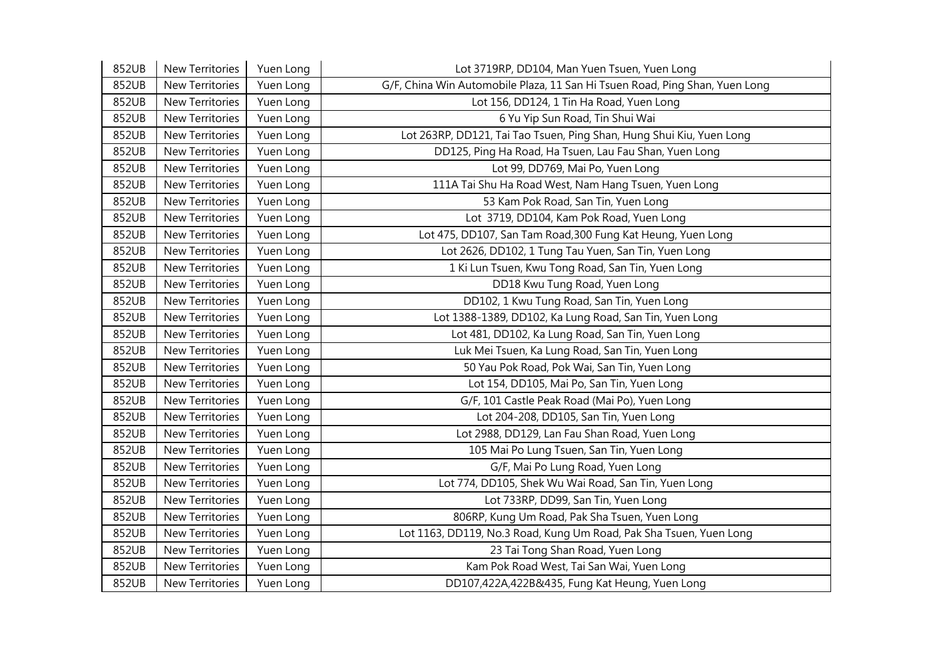| 852UB | New Territories        | Yuen Long | Lot 3719RP, DD104, Man Yuen Tsuen, Yuen Long                                |
|-------|------------------------|-----------|-----------------------------------------------------------------------------|
| 852UB | New Territories        | Yuen Long | G/F, China Win Automobile Plaza, 11 San Hi Tsuen Road, Ping Shan, Yuen Long |
| 852UB | New Territories        | Yuen Long | Lot 156, DD124, 1 Tin Ha Road, Yuen Long                                    |
| 852UB | New Territories        | Yuen Long | 6 Yu Yip Sun Road, Tin Shui Wai                                             |
| 852UB | New Territories        | Yuen Long | Lot 263RP, DD121, Tai Tao Tsuen, Ping Shan, Hung Shui Kiu, Yuen Long        |
| 852UB | <b>New Territories</b> | Yuen Long | DD125, Ping Ha Road, Ha Tsuen, Lau Fau Shan, Yuen Long                      |
| 852UB | New Territories        | Yuen Long | Lot 99, DD769, Mai Po, Yuen Long                                            |
| 852UB | New Territories        | Yuen Long | 111A Tai Shu Ha Road West, Nam Hang Tsuen, Yuen Long                        |
| 852UB | New Territories        | Yuen Long | 53 Kam Pok Road, San Tin, Yuen Long                                         |
| 852UB | New Territories        | Yuen Long | Lot 3719, DD104, Kam Pok Road, Yuen Long                                    |
| 852UB | New Territories        | Yuen Long | Lot 475, DD107, San Tam Road, 300 Fung Kat Heung, Yuen Long                 |
| 852UB | New Territories        | Yuen Long | Lot 2626, DD102, 1 Tung Tau Yuen, San Tin, Yuen Long                        |
| 852UB | New Territories        | Yuen Long | 1 Ki Lun Tsuen, Kwu Tong Road, San Tin, Yuen Long                           |
| 852UB | New Territories        | Yuen Long | DD18 Kwu Tung Road, Yuen Long                                               |
| 852UB | New Territories        | Yuen Long | DD102, 1 Kwu Tung Road, San Tin, Yuen Long                                  |
| 852UB | New Territories        | Yuen Long | Lot 1388-1389, DD102, Ka Lung Road, San Tin, Yuen Long                      |
| 852UB | New Territories        | Yuen Long | Lot 481, DD102, Ka Lung Road, San Tin, Yuen Long                            |
| 852UB | New Territories        | Yuen Long | Luk Mei Tsuen, Ka Lung Road, San Tin, Yuen Long                             |
| 852UB | <b>New Territories</b> | Yuen Long | 50 Yau Pok Road, Pok Wai, San Tin, Yuen Long                                |
| 852UB | New Territories        | Yuen Long | Lot 154, DD105, Mai Po, San Tin, Yuen Long                                  |
| 852UB | New Territories        | Yuen Long | G/F, 101 Castle Peak Road (Mai Po), Yuen Long                               |
| 852UB | New Territories        | Yuen Long | Lot 204-208, DD105, San Tin, Yuen Long                                      |
| 852UB | New Territories        | Yuen Long | Lot 2988, DD129, Lan Fau Shan Road, Yuen Long                               |
| 852UB | <b>New Territories</b> | Yuen Long | 105 Mai Po Lung Tsuen, San Tin, Yuen Long                                   |
| 852UB | <b>New Territories</b> | Yuen Long | G/F, Mai Po Lung Road, Yuen Long                                            |
| 852UB | New Territories        | Yuen Long | Lot 774, DD105, Shek Wu Wai Road, San Tin, Yuen Long                        |
| 852UB | New Territories        | Yuen Long | Lot 733RP, DD99, San Tin, Yuen Long                                         |
| 852UB | New Territories        | Yuen Long | 806RP, Kung Um Road, Pak Sha Tsuen, Yuen Long                               |
| 852UB | New Territories        | Yuen Long | Lot 1163, DD119, No.3 Road, Kung Um Road, Pak Sha Tsuen, Yuen Long          |
| 852UB | New Territories        | Yuen Long | 23 Tai Tong Shan Road, Yuen Long                                            |
| 852UB | New Territories        | Yuen Long | Kam Pok Road West, Tai San Wai, Yuen Long                                   |
| 852UB | New Territories        | Yuen Long | DD107,422A,422B&435, Fung Kat Heung, Yuen Long                              |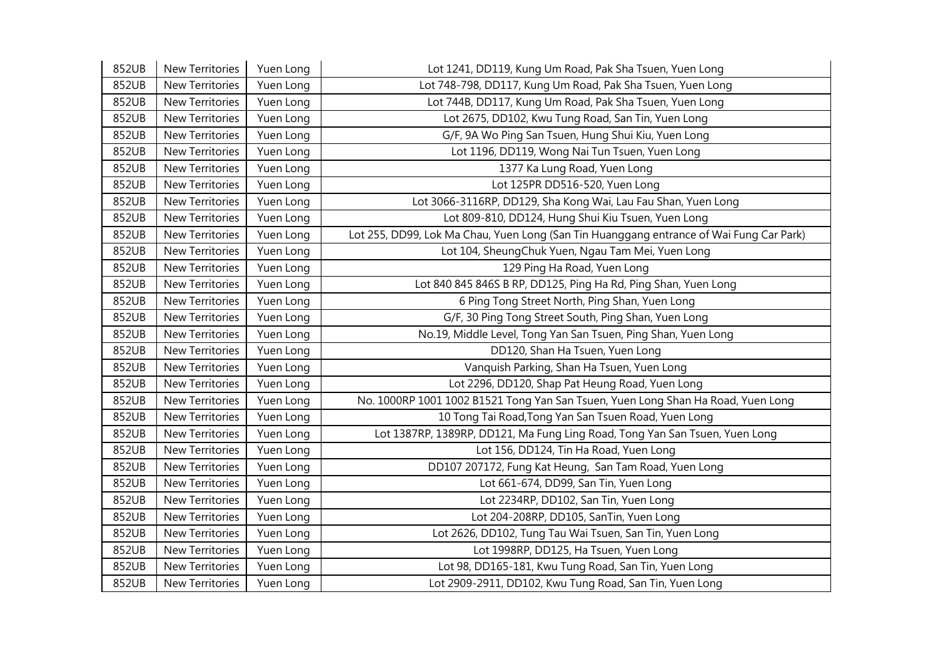| 852UB | New Territories        | Yuen Long | Lot 1241, DD119, Kung Um Road, Pak Sha Tsuen, Yuen Long                                 |
|-------|------------------------|-----------|-----------------------------------------------------------------------------------------|
| 852UB | New Territories        | Yuen Long | Lot 748-798, DD117, Kung Um Road, Pak Sha Tsuen, Yuen Long                              |
| 852UB | New Territories        | Yuen Long | Lot 744B, DD117, Kung Um Road, Pak Sha Tsuen, Yuen Long                                 |
| 852UB | New Territories        | Yuen Long | Lot 2675, DD102, Kwu Tung Road, San Tin, Yuen Long                                      |
| 852UB | New Territories        | Yuen Long | G/F, 9A Wo Ping San Tsuen, Hung Shui Kiu, Yuen Long                                     |
| 852UB | New Territories        | Yuen Long | Lot 1196, DD119, Wong Nai Tun Tsuen, Yuen Long                                          |
| 852UB | New Territories        | Yuen Long | 1377 Ka Lung Road, Yuen Long                                                            |
| 852UB | New Territories        | Yuen Long | Lot 125PR DD516-520, Yuen Long                                                          |
| 852UB | New Territories        | Yuen Long | Lot 3066-3116RP, DD129, Sha Kong Wai, Lau Fau Shan, Yuen Long                           |
| 852UB | New Territories        | Yuen Long | Lot 809-810, DD124, Hung Shui Kiu Tsuen, Yuen Long                                      |
| 852UB | New Territories        | Yuen Long | Lot 255, DD99, Lok Ma Chau, Yuen Long (San Tin Huanggang entrance of Wai Fung Car Park) |
| 852UB | New Territories        | Yuen Long | Lot 104, SheungChuk Yuen, Ngau Tam Mei, Yuen Long                                       |
| 852UB | <b>New Territories</b> | Yuen Long | 129 Ping Ha Road, Yuen Long                                                             |
| 852UB | New Territories        | Yuen Long | Lot 840 845 846S B RP, DD125, Ping Ha Rd, Ping Shan, Yuen Long                          |
| 852UB | New Territories        | Yuen Long | 6 Ping Tong Street North, Ping Shan, Yuen Long                                          |
| 852UB | New Territories        | Yuen Long | G/F, 30 Ping Tong Street South, Ping Shan, Yuen Long                                    |
| 852UB | New Territories        | Yuen Long | No.19, Middle Level, Tong Yan San Tsuen, Ping Shan, Yuen Long                           |
| 852UB | New Territories        | Yuen Long | DD120, Shan Ha Tsuen, Yuen Long                                                         |
| 852UB | New Territories        | Yuen Long | Vanquish Parking, Shan Ha Tsuen, Yuen Long                                              |
| 852UB | New Territories        | Yuen Long | Lot 2296, DD120, Shap Pat Heung Road, Yuen Long                                         |
| 852UB | New Territories        | Yuen Long | No. 1000RP 1001 1002 B1521 Tong Yan San Tsuen, Yuen Long Shan Ha Road, Yuen Long        |
| 852UB | New Territories        | Yuen Long | 10 Tong Tai Road, Tong Yan San Tsuen Road, Yuen Long                                    |
| 852UB | New Territories        | Yuen Long | Lot 1387RP, 1389RP, DD121, Ma Fung Ling Road, Tong Yan San Tsuen, Yuen Long             |
| 852UB | <b>New Territories</b> | Yuen Long | Lot 156, DD124, Tin Ha Road, Yuen Long                                                  |
| 852UB | New Territories        | Yuen Long | DD107 207172, Fung Kat Heung, San Tam Road, Yuen Long                                   |
| 852UB | New Territories        | Yuen Long | Lot 661-674, DD99, San Tin, Yuen Long                                                   |
| 852UB | New Territories        | Yuen Long | Lot 2234RP, DD102, San Tin, Yuen Long                                                   |
| 852UB | New Territories        | Yuen Long | Lot 204-208RP, DD105, SanTin, Yuen Long                                                 |
| 852UB | New Territories        | Yuen Long | Lot 2626, DD102, Tung Tau Wai Tsuen, San Tin, Yuen Long                                 |
| 852UB | New Territories        | Yuen Long | Lot 1998RP, DD125, Ha Tsuen, Yuen Long                                                  |
| 852UB | New Territories        | Yuen Long | Lot 98, DD165-181, Kwu Tung Road, San Tin, Yuen Long                                    |
| 852UB | New Territories        | Yuen Long | Lot 2909-2911, DD102, Kwu Tung Road, San Tin, Yuen Long                                 |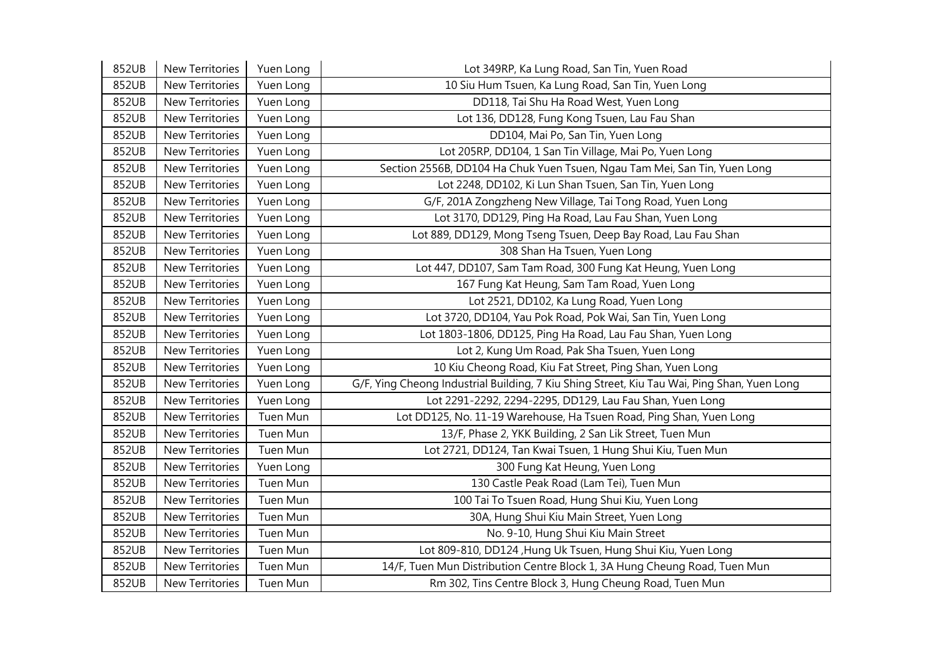| 852UB | New Territories        | Yuen Long | Lot 349RP, Ka Lung Road, San Tin, Yuen Road                                                 |
|-------|------------------------|-----------|---------------------------------------------------------------------------------------------|
| 852UB | New Territories        | Yuen Long | 10 Siu Hum Tsuen, Ka Lung Road, San Tin, Yuen Long                                          |
| 852UB | New Territories        | Yuen Long | DD118, Tai Shu Ha Road West, Yuen Long                                                      |
| 852UB | New Territories        | Yuen Long | Lot 136, DD128, Fung Kong Tsuen, Lau Fau Shan                                               |
| 852UB | New Territories        | Yuen Long | DD104, Mai Po, San Tin, Yuen Long                                                           |
| 852UB | New Territories        | Yuen Long | Lot 205RP, DD104, 1 San Tin Village, Mai Po, Yuen Long                                      |
| 852UB | New Territories        | Yuen Long | Section 2556B, DD104 Ha Chuk Yuen Tsuen, Ngau Tam Mei, San Tin, Yuen Long                   |
| 852UB | New Territories        | Yuen Long | Lot 2248, DD102, Ki Lun Shan Tsuen, San Tin, Yuen Long                                      |
| 852UB | New Territories        | Yuen Long | G/F, 201A Zongzheng New Village, Tai Tong Road, Yuen Long                                   |
| 852UB | <b>New Territories</b> | Yuen Long | Lot 3170, DD129, Ping Ha Road, Lau Fau Shan, Yuen Long                                      |
| 852UB | New Territories        | Yuen Long | Lot 889, DD129, Mong Tseng Tsuen, Deep Bay Road, Lau Fau Shan                               |
| 852UB | New Territories        | Yuen Long | 308 Shan Ha Tsuen, Yuen Long                                                                |
| 852UB | New Territories        | Yuen Long | Lot 447, DD107, Sam Tam Road, 300 Fung Kat Heung, Yuen Long                                 |
| 852UB | New Territories        | Yuen Long | 167 Fung Kat Heung, Sam Tam Road, Yuen Long                                                 |
| 852UB | New Territories        | Yuen Long | Lot 2521, DD102, Ka Lung Road, Yuen Long                                                    |
| 852UB | New Territories        | Yuen Long | Lot 3720, DD104, Yau Pok Road, Pok Wai, San Tin, Yuen Long                                  |
| 852UB | New Territories        | Yuen Long | Lot 1803-1806, DD125, Ping Ha Road, Lau Fau Shan, Yuen Long                                 |
| 852UB | New Territories        | Yuen Long | Lot 2, Kung Um Road, Pak Sha Tsuen, Yuen Long                                               |
| 852UB | New Territories        | Yuen Long | 10 Kiu Cheong Road, Kiu Fat Street, Ping Shan, Yuen Long                                    |
| 852UB | New Territories        | Yuen Long | G/F, Ying Cheong Industrial Building, 7 Kiu Shing Street, Kiu Tau Wai, Ping Shan, Yuen Long |
| 852UB | New Territories        | Yuen Long | Lot 2291-2292, 2294-2295, DD129, Lau Fau Shan, Yuen Long                                    |
| 852UB | <b>New Territories</b> | Tuen Mun  | Lot DD125, No. 11-19 Warehouse, Ha Tsuen Road, Ping Shan, Yuen Long                         |
| 852UB | New Territories        | Tuen Mun  | 13/F, Phase 2, YKK Building, 2 San Lik Street, Tuen Mun                                     |
| 852UB | New Territories        | Tuen Mun  | Lot 2721, DD124, Tan Kwai Tsuen, 1 Hung Shui Kiu, Tuen Mun                                  |
| 852UB | <b>New Territories</b> | Yuen Long | 300 Fung Kat Heung, Yuen Long                                                               |
| 852UB | New Territories        | Tuen Mun  | 130 Castle Peak Road (Lam Tei), Tuen Mun                                                    |
| 852UB | New Territories        | Tuen Mun  | 100 Tai To Tsuen Road, Hung Shui Kiu, Yuen Long                                             |
| 852UB | New Territories        | Tuen Mun  | 30A, Hung Shui Kiu Main Street, Yuen Long                                                   |
| 852UB | New Territories        | Tuen Mun  | No. 9-10, Hung Shui Kiu Main Street                                                         |
| 852UB | <b>New Territories</b> | Tuen Mun  | Lot 809-810, DD124, Hung Uk Tsuen, Hung Shui Kiu, Yuen Long                                 |
| 852UB | New Territories        | Tuen Mun  | 14/F, Tuen Mun Distribution Centre Block 1, 3A Hung Cheung Road, Tuen Mun                   |
| 852UB | New Territories        | Tuen Mun  | Rm 302, Tins Centre Block 3, Hung Cheung Road, Tuen Mun                                     |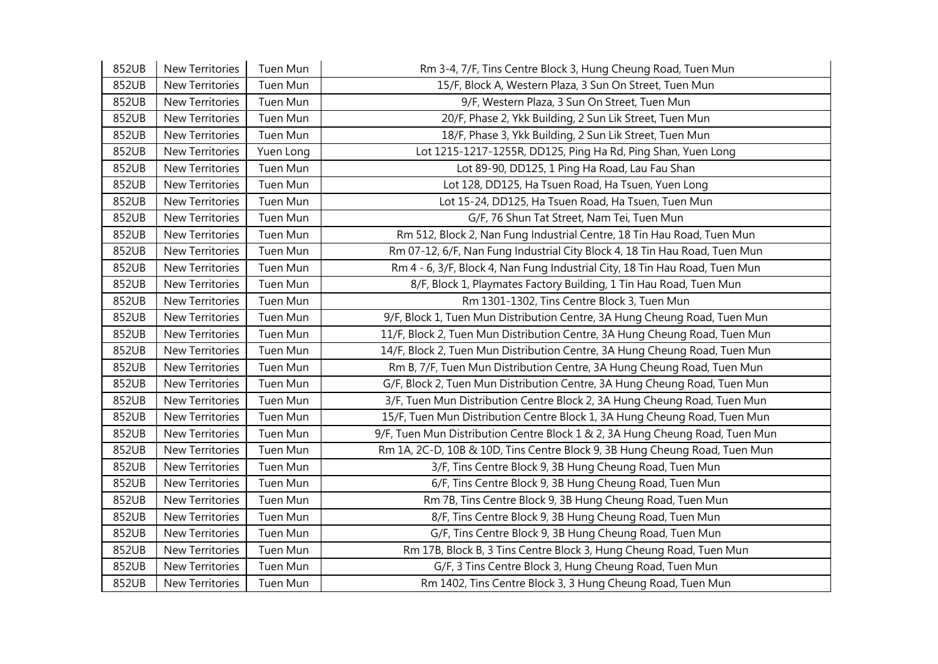| 852UB | New Territories        | Tuen Mun  | Rm 3-4, 7/F, Tins Centre Block 3, Hung Cheung Road, Tuen Mun                 |
|-------|------------------------|-----------|------------------------------------------------------------------------------|
| 852UB | New Territories        | Tuen Mun  | 15/F, Block A, Western Plaza, 3 Sun On Street, Tuen Mun                      |
| 852UB | New Territories        | Tuen Mun  | 9/F, Western Plaza, 3 Sun On Street, Tuen Mun                                |
| 852UB | New Territories        | Tuen Mun  | 20/F, Phase 2, Ykk Building, 2 Sun Lik Street, Tuen Mun                      |
| 852UB | New Territories        | Tuen Mun  | 18/F, Phase 3, Ykk Building, 2 Sun Lik Street, Tuen Mun                      |
| 852UB | New Territories        | Yuen Long | Lot 1215-1217-1255R, DD125, Ping Ha Rd, Ping Shan, Yuen Long                 |
| 852UB | New Territories        | Tuen Mun  | Lot 89-90, DD125, 1 Ping Ha Road, Lau Fau Shan                               |
| 852UB | New Territories        | Tuen Mun  | Lot 128, DD125, Ha Tsuen Road, Ha Tsuen, Yuen Long                           |
| 852UB | New Territories        | Tuen Mun  | Lot 15-24, DD125, Ha Tsuen Road, Ha Tsuen, Tuen Mun                          |
| 852UB | <b>New Territories</b> | Tuen Mun  | G/F, 76 Shun Tat Street, Nam Tei, Tuen Mun                                   |
| 852UB | New Territories        | Tuen Mun  | Rm 512, Block 2, Nan Fung Industrial Centre, 18 Tin Hau Road, Tuen Mun       |
| 852UB | New Territories        | Tuen Mun  | Rm 07-12, 6/F, Nan Fung Industrial City Block 4, 18 Tin Hau Road, Tuen Mun   |
| 852UB | New Territories        | Tuen Mun  | Rm 4 - 6, 3/F, Block 4, Nan Fung Industrial City, 18 Tin Hau Road, Tuen Mun  |
| 852UB | New Territories        | Tuen Mun  | 8/F, Block 1, Playmates Factory Building, 1 Tin Hau Road, Tuen Mun           |
| 852UB | New Territories        | Tuen Mun  | Rm 1301-1302, Tins Centre Block 3, Tuen Mun                                  |
| 852UB | New Territories        | Tuen Mun  | 9/F, Block 1, Tuen Mun Distribution Centre, 3A Hung Cheung Road, Tuen Mun    |
| 852UB | New Territories        | Tuen Mun  | 11/F, Block 2, Tuen Mun Distribution Centre, 3A Hung Cheung Road, Tuen Mun   |
| 852UB | <b>New Territories</b> | Tuen Mun  | 14/F, Block 2, Tuen Mun Distribution Centre, 3A Hung Cheung Road, Tuen Mun   |
| 852UB | New Territories        | Tuen Mun  | Rm B, 7/F, Tuen Mun Distribution Centre, 3A Hung Cheung Road, Tuen Mun       |
| 852UB | New Territories        | Tuen Mun  | G/F, Block 2, Tuen Mun Distribution Centre, 3A Hung Cheung Road, Tuen Mun    |
| 852UB | New Territories        | Tuen Mun  | 3/F, Tuen Mun Distribution Centre Block 2, 3A Hung Cheung Road, Tuen Mun     |
| 852UB | New Territories        | Tuen Mun  | 15/F, Tuen Mun Distribution Centre Block 1, 3A Hung Cheung Road, Tuen Mun    |
| 852UB | <b>New Territories</b> | Tuen Mun  | 9/F, Tuen Mun Distribution Centre Block 1 & 2, 3A Hung Cheung Road, Tuen Mun |
| 852UB | <b>New Territories</b> | Tuen Mun  | Rm 1A, 2C-D, 10B & 10D, Tins Centre Block 9, 3B Hung Cheung Road, Tuen Mun   |
| 852UB | New Territories        | Tuen Mun  | 3/F, Tins Centre Block 9, 3B Hung Cheung Road, Tuen Mun                      |
| 852UB | New Territories        | Tuen Mun  | 6/F, Tins Centre Block 9, 3B Hung Cheung Road, Tuen Mun                      |
| 852UB | New Territories        | Tuen Mun  | Rm 7B, Tins Centre Block 9, 3B Hung Cheung Road, Tuen Mun                    |
| 852UB | New Territories        | Tuen Mun  | 8/F, Tins Centre Block 9, 3B Hung Cheung Road, Tuen Mun                      |
| 852UB | <b>New Territories</b> | Tuen Mun  | G/F, Tins Centre Block 9, 3B Hung Cheung Road, Tuen Mun                      |
| 852UB | New Territories        | Tuen Mun  | Rm 17B, Block B, 3 Tins Centre Block 3, Hung Cheung Road, Tuen Mun           |
| 852UB | New Territories        | Tuen Mun  | G/F, 3 Tins Centre Block 3, Hung Cheung Road, Tuen Mun                       |
| 852UB | <b>New Territories</b> | Tuen Mun  | Rm 1402, Tins Centre Block 3, 3 Hung Cheung Road, Tuen Mun                   |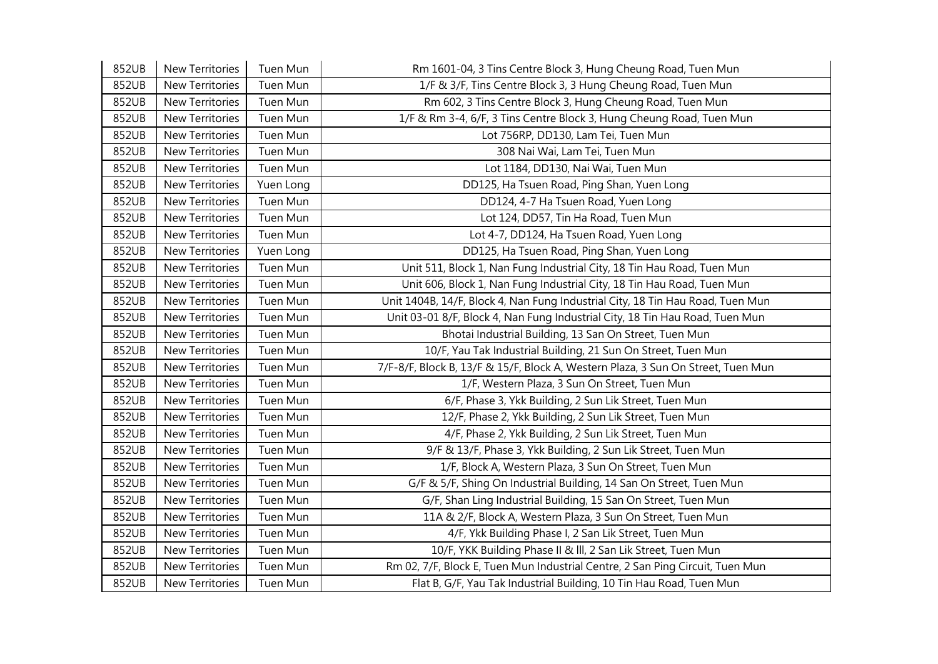| 852UB | New Territories        | Tuen Mun  | Rm 1601-04, 3 Tins Centre Block 3, Hung Cheung Road, Tuen Mun                    |
|-------|------------------------|-----------|----------------------------------------------------------------------------------|
| 852UB | New Territories        | Tuen Mun  | 1/F & 3/F, Tins Centre Block 3, 3 Hung Cheung Road, Tuen Mun                     |
| 852UB | New Territories        | Tuen Mun  | Rm 602, 3 Tins Centre Block 3, Hung Cheung Road, Tuen Mun                        |
| 852UB | New Territories        | Tuen Mun  | 1/F & Rm 3-4, 6/F, 3 Tins Centre Block 3, Hung Cheung Road, Tuen Mun             |
| 852UB | New Territories        | Tuen Mun  | Lot 756RP, DD130, Lam Tei, Tuen Mun                                              |
| 852UB | New Territories        | Tuen Mun  | 308 Nai Wai, Lam Tei, Tuen Mun                                                   |
| 852UB | New Territories        | Tuen Mun  | Lot 1184, DD130, Nai Wai, Tuen Mun                                               |
| 852UB | New Territories        | Yuen Long | DD125, Ha Tsuen Road, Ping Shan, Yuen Long                                       |
| 852UB | New Territories        | Tuen Mun  | DD124, 4-7 Ha Tsuen Road, Yuen Long                                              |
| 852UB | New Territories        | Tuen Mun  | Lot 124, DD57, Tin Ha Road, Tuen Mun                                             |
| 852UB | New Territories        | Tuen Mun  | Lot 4-7, DD124, Ha Tsuen Road, Yuen Long                                         |
| 852UB | New Territories        | Yuen Long | DD125, Ha Tsuen Road, Ping Shan, Yuen Long                                       |
| 852UB | <b>New Territories</b> | Tuen Mun  | Unit 511, Block 1, Nan Fung Industrial City, 18 Tin Hau Road, Tuen Mun           |
| 852UB | New Territories        | Tuen Mun  | Unit 606, Block 1, Nan Fung Industrial City, 18 Tin Hau Road, Tuen Mun           |
| 852UB | New Territories        | Tuen Mun  | Unit 1404B, 14/F, Block 4, Nan Fung Industrial City, 18 Tin Hau Road, Tuen Mun   |
| 852UB | <b>New Territories</b> | Tuen Mun  | Unit 03-01 8/F, Block 4, Nan Fung Industrial City, 18 Tin Hau Road, Tuen Mun     |
| 852UB | <b>New Territories</b> | Tuen Mun  | Bhotai Industrial Building, 13 San On Street, Tuen Mun                           |
| 852UB | New Territories        | Tuen Mun  | 10/F, Yau Tak Industrial Building, 21 Sun On Street, Tuen Mun                    |
| 852UB | New Territories        | Tuen Mun  | 7/F-8/F, Block B, 13/F & 15/F, Block A, Western Plaza, 3 Sun On Street, Tuen Mun |
| 852UB | New Territories        | Tuen Mun  | 1/F, Western Plaza, 3 Sun On Street, Tuen Mun                                    |
| 852UB | New Territories        | Tuen Mun  | 6/F, Phase 3, Ykk Building, 2 Sun Lik Street, Tuen Mun                           |
| 852UB | New Territories        | Tuen Mun  | 12/F, Phase 2, Ykk Building, 2 Sun Lik Street, Tuen Mun                          |
| 852UB | New Territories        | Tuen Mun  | 4/F, Phase 2, Ykk Building, 2 Sun Lik Street, Tuen Mun                           |
| 852UB | <b>New Territories</b> | Tuen Mun  | 9/F & 13/F, Phase 3, Ykk Building, 2 Sun Lik Street, Tuen Mun                    |
| 852UB | New Territories        | Tuen Mun  | 1/F, Block A, Western Plaza, 3 Sun On Street, Tuen Mun                           |
| 852UB | New Territories        | Tuen Mun  | G/F & 5/F, Shing On Industrial Building, 14 San On Street, Tuen Mun              |
| 852UB | New Territories        | Tuen Mun  | G/F, Shan Ling Industrial Building, 15 San On Street, Tuen Mun                   |
| 852UB | New Territories        | Tuen Mun  | 11A & 2/F, Block A, Western Plaza, 3 Sun On Street, Tuen Mun                     |
| 852UB | <b>New Territories</b> | Tuen Mun  | 4/F, Ykk Building Phase I, 2 San Lik Street, Tuen Mun                            |
| 852UB | <b>New Territories</b> | Tuen Mun  | 10/F, YKK Building Phase II & III, 2 San Lik Street, Tuen Mun                    |
| 852UB | New Territories        | Tuen Mun  | Rm 02, 7/F, Block E, Tuen Mun Industrial Centre, 2 San Ping Circuit, Tuen Mun    |
| 852UB | <b>New Territories</b> | Tuen Mun  | Flat B, G/F, Yau Tak Industrial Building, 10 Tin Hau Road, Tuen Mun              |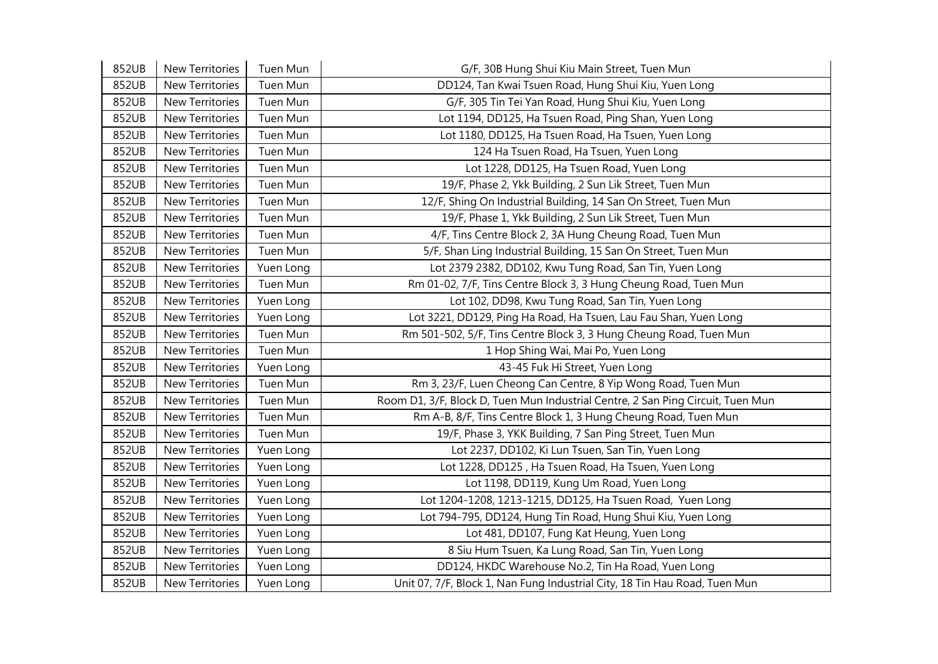| 852UB | New Territories        | Tuen Mun  | G/F, 30B Hung Shui Kiu Main Street, Tuen Mun                                    |
|-------|------------------------|-----------|---------------------------------------------------------------------------------|
| 852UB | New Territories        | Tuen Mun  | DD124, Tan Kwai Tsuen Road, Hung Shui Kiu, Yuen Long                            |
| 852UB | New Territories        | Tuen Mun  | G/F, 305 Tin Tei Yan Road, Hung Shui Kiu, Yuen Long                             |
| 852UB | New Territories        | Tuen Mun  | Lot 1194, DD125, Ha Tsuen Road, Ping Shan, Yuen Long                            |
| 852UB | <b>New Territories</b> | Tuen Mun  | Lot 1180, DD125, Ha Tsuen Road, Ha Tsuen, Yuen Long                             |
| 852UB | New Territories        | Tuen Mun  | 124 Ha Tsuen Road, Ha Tsuen, Yuen Long                                          |
| 852UB | New Territories        | Tuen Mun  | Lot 1228, DD125, Ha Tsuen Road, Yuen Long                                       |
| 852UB | New Territories        | Tuen Mun  | 19/F, Phase 2, Ykk Building, 2 Sun Lik Street, Tuen Mun                         |
| 852UB | New Territories        | Tuen Mun  | 12/F, Shing On Industrial Building, 14 San On Street, Tuen Mun                  |
| 852UB | New Territories        | Tuen Mun  | 19/F, Phase 1, Ykk Building, 2 Sun Lik Street, Tuen Mun                         |
| 852UB | New Territories        | Tuen Mun  | 4/F, Tins Centre Block 2, 3A Hung Cheung Road, Tuen Mun                         |
| 852UB | New Territories        | Tuen Mun  | 5/F, Shan Ling Industrial Building, 15 San On Street, Tuen Mun                  |
| 852UB | <b>New Territories</b> | Yuen Long | Lot 2379 2382, DD102, Kwu Tung Road, San Tin, Yuen Long                         |
| 852UB | New Territories        | Tuen Mun  | Rm 01-02, 7/F, Tins Centre Block 3, 3 Hung Cheung Road, Tuen Mun                |
| 852UB | New Territories        | Yuen Long | Lot 102, DD98, Kwu Tung Road, San Tin, Yuen Long                                |
| 852UB | New Territories        | Yuen Long | Lot 3221, DD129, Ping Ha Road, Ha Tsuen, Lau Fau Shan, Yuen Long                |
| 852UB | <b>New Territories</b> | Tuen Mun  | Rm 501-502, 5/F, Tins Centre Block 3, 3 Hung Cheung Road, Tuen Mun              |
| 852UB | New Territories        | Tuen Mun  | 1 Hop Shing Wai, Mai Po, Yuen Long                                              |
| 852UB | New Territories        | Yuen Long | 43-45 Fuk Hi Street, Yuen Long                                                  |
| 852UB | New Territories        | Tuen Mun  | Rm 3, 23/F, Luen Cheong Can Centre, 8 Yip Wong Road, Tuen Mun                   |
| 852UB | New Territories        | Tuen Mun  | Room D1, 3/F, Block D, Tuen Mun Industrial Centre, 2 San Ping Circuit, Tuen Mun |
| 852UB | New Territories        | Tuen Mun  | Rm A-B, 8/F, Tins Centre Block 1, 3 Hung Cheung Road, Tuen Mun                  |
| 852UB | New Territories        | Tuen Mun  | 19/F, Phase 3, YKK Building, 7 San Ping Street, Tuen Mun                        |
| 852UB | New Territories        | Yuen Long | Lot 2237, DD102, Ki Lun Tsuen, San Tin, Yuen Long                               |
| 852UB | New Territories        | Yuen Long | Lot 1228, DD125, Ha Tsuen Road, Ha Tsuen, Yuen Long                             |
| 852UB | New Territories        | Yuen Long | Lot 1198, DD119, Kung Um Road, Yuen Long                                        |
| 852UB | New Territories        | Yuen Long | Lot 1204-1208, 1213-1215, DD125, Ha Tsuen Road, Yuen Long                       |
| 852UB | New Territories        | Yuen Long | Lot 794-795, DD124, Hung Tin Road, Hung Shui Kiu, Yuen Long                     |
| 852UB | New Territories        | Yuen Long | Lot 481, DD107, Fung Kat Heung, Yuen Long                                       |
| 852UB | New Territories        | Yuen Long | 8 Siu Hum Tsuen, Ka Lung Road, San Tin, Yuen Long                               |
| 852UB | New Territories        | Yuen Long | DD124, HKDC Warehouse No.2, Tin Ha Road, Yuen Long                              |
| 852UB | New Territories        | Yuen Long | Unit 07, 7/F, Block 1, Nan Fung Industrial City, 18 Tin Hau Road, Tuen Mun      |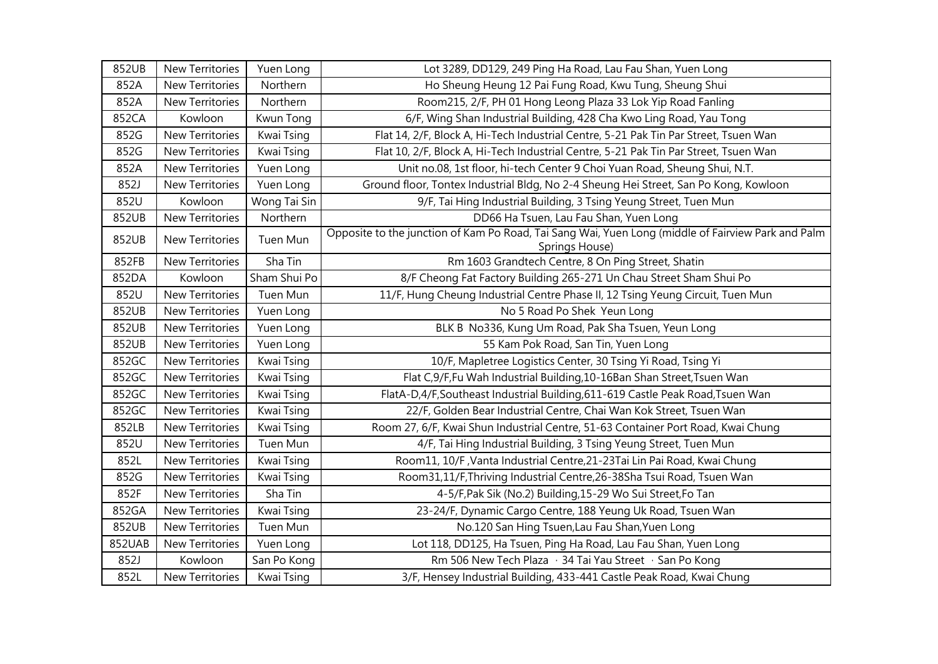| 852UB  | New Territories        | Yuen Long    | Lot 3289, DD129, 249 Ping Ha Road, Lau Fau Shan, Yuen Long                                         |
|--------|------------------------|--------------|----------------------------------------------------------------------------------------------------|
| 852A   | New Territories        | Northern     | Ho Sheung Heung 12 Pai Fung Road, Kwu Tung, Sheung Shui                                            |
| 852A   | New Territories        | Northern     | Room215, 2/F, PH 01 Hong Leong Plaza 33 Lok Yip Road Fanling                                       |
| 852CA  | Kowloon                | Kwun Tong    | 6/F, Wing Shan Industrial Building, 428 Cha Kwo Ling Road, Yau Tong                                |
| 852G   | New Territories        | Kwai Tsing   | Flat 14, 2/F, Block A, Hi-Tech Industrial Centre, 5-21 Pak Tin Par Street, Tsuen Wan               |
| 852G   | New Territories        | Kwai Tsing   | Flat 10, 2/F, Block A, Hi-Tech Industrial Centre, 5-21 Pak Tin Par Street, Tsuen Wan               |
| 852A   | New Territories        | Yuen Long    | Unit no.08, 1st floor, hi-tech Center 9 Choi Yuan Road, Sheung Shui, N.T.                          |
| 852J   | New Territories        | Yuen Long    | Ground floor, Tontex Industrial Bldg, No 2-4 Sheung Hei Street, San Po Kong, Kowloon               |
| 852U   | Kowloon                | Wong Tai Sin | 9/F, Tai Hing Industrial Building, 3 Tsing Yeung Street, Tuen Mun                                  |
| 852UB  | <b>New Territories</b> | Northern     | DD66 Ha Tsuen, Lau Fau Shan, Yuen Long                                                             |
| 852UB  | <b>New Territories</b> | Tuen Mun     | Opposite to the junction of Kam Po Road, Tai Sang Wai, Yuen Long (middle of Fairview Park and Palm |
|        |                        |              | Springs House)                                                                                     |
| 852FB  | New Territories        | Sha Tin      | Rm 1603 Grandtech Centre, 8 On Ping Street, Shatin                                                 |
| 852DA  | Kowloon                | Sham Shui Po | 8/F Cheong Fat Factory Building 265-271 Un Chau Street Sham Shui Po                                |
| 852U   | New Territories        | Tuen Mun     | 11/F, Hung Cheung Industrial Centre Phase II, 12 Tsing Yeung Circuit, Tuen Mun                     |
| 852UB  | New Territories        | Yuen Long    | No 5 Road Po Shek Yeun Long                                                                        |
| 852UB  | New Territories        | Yuen Long    | BLK B No336, Kung Um Road, Pak Sha Tsuen, Yeun Long                                                |
| 852UB  | <b>New Territories</b> | Yuen Long    | 55 Kam Pok Road, San Tin, Yuen Long                                                                |
| 852GC  | New Territories        | Kwai Tsing   | 10/F, Mapletree Logistics Center, 30 Tsing Yi Road, Tsing Yi                                       |
| 852GC  | New Territories        | Kwai Tsing   | Flat C,9/F,Fu Wah Industrial Building, 10-16Ban Shan Street, Tsuen Wan                             |
| 852GC  | New Territories        | Kwai Tsing   | FlatA-D,4/F,Southeast Industrial Building,611-619 Castle Peak Road,Tsuen Wan                       |
| 852GC  | New Territories        | Kwai Tsing   | 22/F, Golden Bear Industrial Centre, Chai Wan Kok Street, Tsuen Wan                                |
| 852LB  | <b>New Territories</b> | Kwai Tsing   | Room 27, 6/F, Kwai Shun Industrial Centre, 51-63 Container Port Road, Kwai Chung                   |
| 852U   | New Territories        | Tuen Mun     | 4/F, Tai Hing Industrial Building, 3 Tsing Yeung Street, Tuen Mun                                  |
| 852L   | New Territories        | Kwai Tsing   | Room11, 10/F, Vanta Industrial Centre, 21-23Tai Lin Pai Road, Kwai Chung                           |
| 852G   | New Territories        | Kwai Tsing   | Room31,11/F, Thriving Industrial Centre, 26-38Sha Tsui Road, Tsuen Wan                             |
| 852F   | New Territories        | Sha Tin      | 4-5/F, Pak Sik (No.2) Building, 15-29 Wo Sui Street, Fo Tan                                        |
| 852GA  | New Territories        | Kwai Tsing   | 23-24/F, Dynamic Cargo Centre, 188 Yeung Uk Road, Tsuen Wan                                        |
| 852UB  | New Territories        | Tuen Mun     | No.120 San Hing Tsuen, Lau Fau Shan, Yuen Long                                                     |
| 852UAB | New Territories        | Yuen Long    | Lot 118, DD125, Ha Tsuen, Ping Ha Road, Lau Fau Shan, Yuen Long                                    |
| 852J   | Kowloon                | San Po Kong  | Rm 506 New Tech Plaza · 34 Tai Yau Street · San Po Kong                                            |
| 852L   | New Territories        | Kwai Tsing   | 3/F, Hensey Industrial Building, 433-441 Castle Peak Road, Kwai Chung                              |